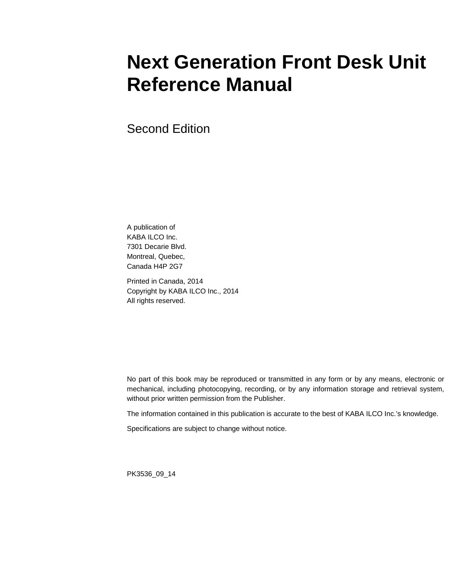# **Next Generation Front Desk Unit Reference Manual**

Second Edition

A publication of KABA ILCO Inc. 7301 Decarie Blvd. Montreal, Quebec, Canada H4P 2G7

Printed in Canada, 2014 Copyright by KABA ILCO Inc., 2014 All rights reserved.

No part of this book may be reproduced or transmitted in any form or by any means, electronic or mechanical, including photocopying, recording, or by any information storage and retrieval system, without prior written permission from the Publisher.

The information contained in this publication is accurate to the best of KABA ILCO Inc.'s knowledge.

Specifications are subject to change without notice.

PK3536\_09\_14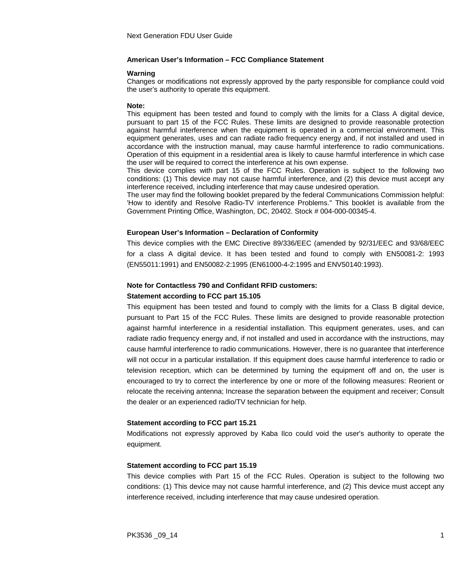#### **American User's Information – FCC Compliance Statement**

#### **Warning**

Changes or modifications not expressly approved by the party responsible for compliance could void the user's authority to operate this equipment.

#### **Note:**

This equipment has been tested and found to comply with the limits for a Class A digital device, pursuant to part 15 of the FCC Rules. These limits are designed to provide reasonable protection against harmful interference when the equipment is operated in a commercial environment. This equipment generates, uses and can radiate radio frequency energy and, if not installed and used in accordance with the instruction manual, may cause harmful interference to radio communications. Operation of this equipment in a residential area is likely to cause harmful interference in which case the user will be required to correct the interference at his own expense.

This device complies with part 15 of the FCC Rules. Operation is subject to the following two conditions: (1) This device may not cause harmful interference, and (2) this device must accept any interference received, including interference that may cause undesired operation.

The user may find the following booklet prepared by the federal Communications Commission helpful: 'How to identify and Resolve Radio-TV interference Problems." This booklet is available from the Government Printing Office, Washington, DC, 20402. Stock # 004-000-00345-4.

#### **European User's Information – Declaration of Conformity**

This device complies with the EMC Directive 89/336/EEC (amended by 92/31/EEC and 93/68/EEC for a class A digital device. It has been tested and found to comply with EN50081-2: 1993 (EN55011:1991) and EN50082-2:1995 (EN61000-4-2:1995 and ENV50140:1993).

#### **Note for Contactless 790 and Confidant RFID customers:**

#### **Statement according to FCC part 15.105**

This equipment has been tested and found to comply with the limits for a Class B digital device, pursuant to Part 15 of the FCC Rules. These limits are designed to provide reasonable protection against harmful interference in a residential installation. This equipment generates, uses, and can radiate radio frequency energy and, if not installed and used in accordance with the instructions, may cause harmful interference to radio communications. However, there is no guarantee that interference will not occur in a particular installation. If this equipment does cause harmful interference to radio or television reception, which can be determined by turning the equipment off and on, the user is encouraged to try to correct the interference by one or more of the following measures: Reorient or relocate the receiving antenna; Increase the separation between the equipment and receiver; Consult the dealer or an experienced radio/TV technician for help.

#### **Statement according to FCC part 15.21**

Modifications not expressly approved by Kaba Ilco could void the user's authority to operate the equipment.

#### **Statement according to FCC part 15.19**

This device complies with Part 15 of the FCC Rules. Operation is subject to the following two conditions: (1) This device may not cause harmful interference, and (2) This device must accept any interference received, including interference that may cause undesired operation.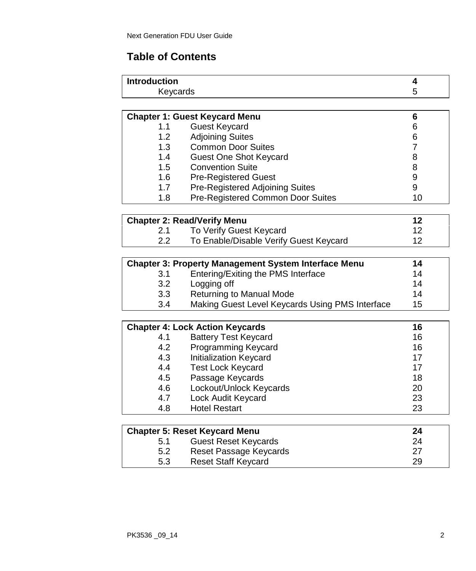# **Table of Contents**

| <b>Introduction</b> |  |
|---------------------|--|
| Keycards            |  |
|                     |  |

|                  | <b>Chapter 1: Guest Keycard Menu</b> | 6  |
|------------------|--------------------------------------|----|
| 1.1              | <b>Guest Keycard</b>                 | 6  |
| 1.2 <sub>1</sub> | <b>Adjoining Suites</b>              | 6  |
| 1.3              | <b>Common Door Suites</b>            |    |
| 1.4              | Guest One Shot Keycard               | 8  |
| 1.5              | <b>Convention Suite</b>              | 8  |
| 1.6              | <b>Pre-Registered Guest</b>          | 9  |
| 1.7              | Pre-Registered Adjoining Suites      | 9  |
| 1.8              | Pre-Registered Common Door Suites    | 10 |
|                  |                                      |    |
|                  | <b>Chapter 2: Read/Verify Menu</b>   | 12 |
| ົາ 1             | To Varifu Cupot Koypord              | 10 |

|     | To Verify Guest Keycard                |  |
|-----|----------------------------------------|--|
| 2.2 | To Enable/Disable Verify Guest Keycard |  |

| 3.1 | Entering/Exiting the PMS Interface              | 14 |
|-----|-------------------------------------------------|----|
| 3.2 | Logging off                                     | 14 |
| 3.3 | Returning to Manual Mode                        | 14 |
| 3.4 | Making Guest Level Keycards Using PMS Interface | 15 |

| <b>Chapter 4: Lock Action Keycards</b><br>16 |                               |    |
|----------------------------------------------|-------------------------------|----|
| 4.1                                          | <b>Battery Test Keycard</b>   | 16 |
| 4.2                                          | Programming Keycard           | 16 |
| 4.3                                          | Initialization Keycard        | 17 |
| 4.4                                          | <b>Test Lock Keycard</b>      | 17 |
| 4.5                                          | Passage Keycards              | 18 |
| 4.6                                          | Lockout/Unlock Keycards       | 20 |
| 4.7                                          | Lock Audit Keycard            | 23 |
| 4.8                                          | <b>Hotel Restart</b>          | 23 |
|                                              |                               |    |
|                                              | Chanter 5: Reset Keycard Menu | 24 |

| Chapter 5: Reset Keycard Menu<br>24 |                            |    |
|-------------------------------------|----------------------------|----|
| 5.1                                 | Guest Reset Keycards       | 24 |
| 5.2                                 | Reset Passage Keycards     | 27 |
| 5.3                                 | <b>Reset Staff Keycard</b> | 29 |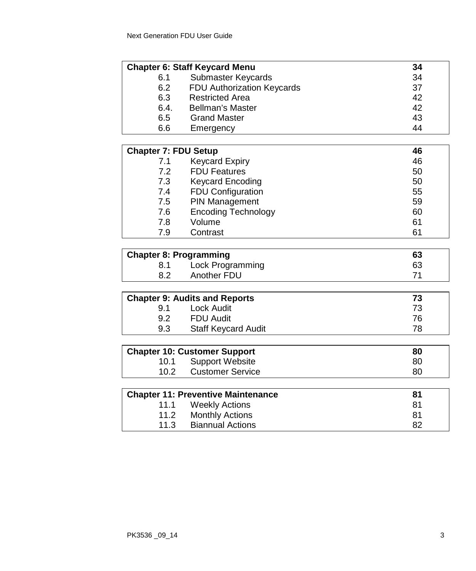|                               | <b>Chapter 6: Staff Keycard Menu</b>                          | 34 |
|-------------------------------|---------------------------------------------------------------|----|
| 6.1                           | Submaster Keycards                                            | 34 |
| 6.2                           | FDU Authorization Keycards                                    | 37 |
| 6.3                           | <b>Restricted Area</b>                                        | 42 |
| 6.4.                          | <b>Bellman's Master</b>                                       | 42 |
| 6.5                           | <b>Grand Master</b>                                           | 43 |
| 6.6                           | Emergency                                                     | 44 |
|                               |                                                               |    |
| <b>Chapter 7: FDU Setup</b>   |                                                               | 46 |
| 7.1                           | <b>Keycard Expiry</b>                                         | 46 |
| 7.2                           | <b>FDU Features</b>                                           | 50 |
| 7.3                           | <b>Keycard Encoding</b>                                       | 50 |
| 7.4                           | <b>FDU Configuration</b>                                      | 55 |
| 7.5                           | PIN Management                                                | 59 |
| 7.6                           | <b>Encoding Technology</b>                                    | 60 |
| 7.8                           | Volume                                                        | 61 |
| 7.9                           | Contrast                                                      | 61 |
|                               |                                                               |    |
| <b>Chapter 8: Programming</b> |                                                               | 63 |
| 8.1                           | Lock Programming                                              | 63 |
| 8.2                           | Another FDU                                                   | 71 |
|                               |                                                               |    |
|                               | <b>Chapter 9: Audits and Reports</b>                          | 73 |
| 9.1                           | <b>Lock Audit</b>                                             | 73 |
| 9.2                           | <b>FDU Audit</b>                                              | 76 |
| 9.3                           | <b>Staff Keycard Audit</b>                                    | 78 |
|                               |                                                               | 80 |
| 10.1                          | <b>Chapter 10: Customer Support</b><br><b>Support Website</b> | 80 |
| 10.2                          | <b>Customer Service</b>                                       | 80 |
|                               |                                                               |    |
|                               | <b>Chapter 11: Preventive Maintenance</b>                     | 81 |
| 11.1                          | <b>Weekly Actions</b>                                         | 81 |
| 11.2                          | <b>Monthly Actions</b>                                        | 81 |
| 11.3                          | <b>Biannual Actions</b>                                       | 82 |
|                               |                                                               |    |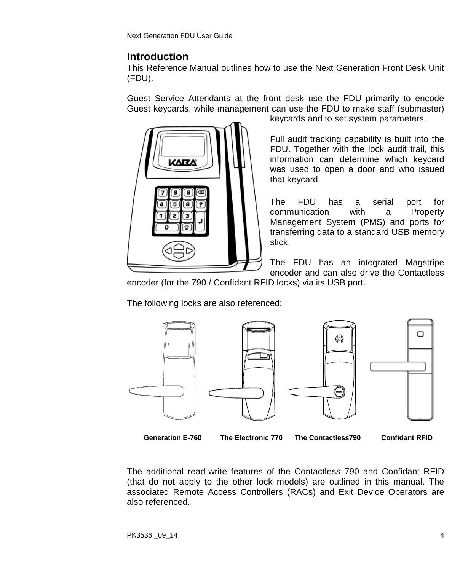Next Generation FDU User Guide

### **Introduction**

This Reference Manual outlines how to use the Next Generation Front Desk Unit (FDU).

Guest Service Attendants at the front desk use the FDU primarily to encode Guest keycards, while management can use the FDU to make staff (submaster)



keycards and to set system parameters.

Full audit tracking capability is built into the FDU. Together with the lock audit trail, this information can determine which keycard was used to open a door and who issued that keycard.

The FDU has a serial port for communication with a Property Management System (PMS) and ports for transferring data to a standard USB memory stick.

The FDU has an integrated Magstripe encoder and can also drive the Contactless

encoder (for the 790 / Confidant RFID locks) via its USB port.

The following locks are also referenced:



**Generation E-760 The Electronic 770 The Contactless790 Confidant RFID** 

The additional read-write features of the Contactless 790 and Confidant RFID (that do not apply to the other lock models) are outlined in this manual. The associated Remote Access Controllers (RACs) and Exit Device Operators are also referenced.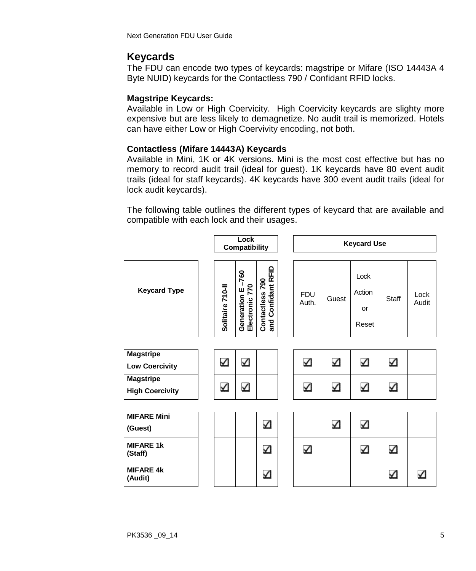Next Generation FDU User Guide

# **Keycards**

The FDU can encode two types of keycards: magstripe or Mifare (ISO 14443A 4 Byte NUID) keycards for the Contactless 790 / Confidant RFID locks.

#### **Magstripe Keycards:**

Available in Low or High Coervicity. High Coervicity keycards are slighty more expensive but are less likely to demagnetize. No audit trail is memorized. Hotels can have either Low or High Coervivity encoding, not both.

#### **Contactless (Mifare 14443A) Keycards**

Available in Mini, 1K or 4K versions. Mini is the most cost effective but has no memory to record audit trail (ideal for guest). 1K keycards have 80 event audit trails (ideal for staff keycards). 4K keycards have 300 event audit trails (ideal for lock audit keycards).

The following table outlines the different types of keycard that are available and compatible with each lock and their usages.

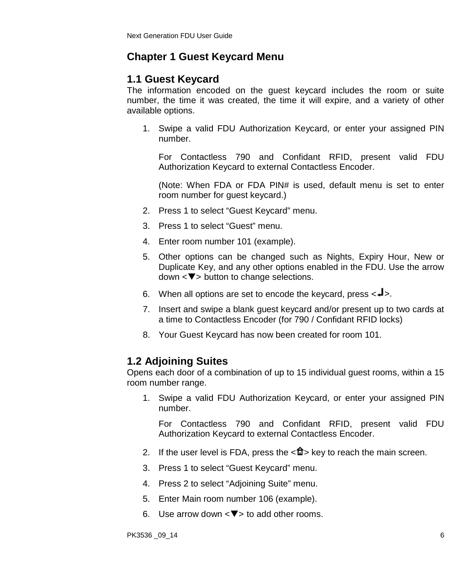# **Chapter 1 Guest Keycard Menu**

### **1.1 Guest Keycard**

The information encoded on the guest keycard includes the room or suite number, the time it was created, the time it will expire, and a variety of other available options.

1. Swipe a valid FDU Authorization Keycard, or enter your assigned PIN number.

For Contactless 790 and Confidant RFID, present valid FDU Authorization Keycard to external Contactless Encoder.

(Note: When FDA or FDA PIN# is used, default menu is set to enter room number for guest keycard.)

- 2. Press 1 to select "Guest Keycard" menu.
- 3. Press 1 to select "Guest" menu.
- 4. Enter room number 101 (example).
- 5. Other options can be changed such as Nights, Expiry Hour, New or Duplicate Key, and any other options enabled in the FDU. Use the arrow  $down < **w**$  button to change selections.
- 6. When all options are set to encode the keycard, press  $\langle -\rangle$ .
- 7. Insert and swipe a blank guest keycard and/or present up to two cards at a time to Contactless Encoder (for 790 / Confidant RFID locks)
- 8. Your Guest Keycard has now been created for room 101.

# **1.2 Adjoining Suites**

Opens each door of a combination of up to 15 individual guest rooms, within a 15 room number range.

1. Swipe a valid FDU Authorization Keycard, or enter your assigned PIN number.

- 2. If the user level is FDA, press the  $\langle \mathbf{u} \rangle$  key to reach the main screen.
- 3. Press 1 to select "Guest Keycard" menu.
- 4. Press 2 to select "Adjoining Suite" menu.
- 5. Enter Main room number 106 (example).
- 6. Use arrow down  $\langle \nabla \rangle$  to add other rooms.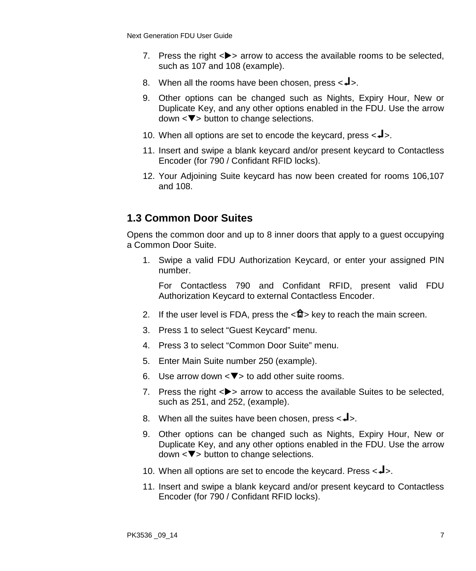- 7. Press the right  $\langle \rangle$  arrow to access the available rooms to be selected, such as 107 and 108 (example).
- 8. When all the rooms have been chosen, press  $\leftarrow \rightarrow \leftarrow$ .
- 9. Other options can be changed such as Nights, Expiry Hour, New or Duplicate Key, and any other options enabled in the FDU. Use the arrow  $down < **v**$  button to change selections.
- 10. When all options are set to encode the keycard, press  $\langle -\rangle$ .
- 11. Insert and swipe a blank keycard and/or present keycard to Contactless Encoder (for 790 / Confidant RFID locks).
- 12. Your Adjoining Suite keycard has now been created for rooms 106,107 and 108.

# **1.3 Common Door Suites**

Opens the common door and up to 8 inner doors that apply to a guest occupying a Common Door Suite.

1. Swipe a valid FDU Authorization Keycard, or enter your assigned PIN number.

- 2. If the user level is FDA, press the  $\langle \mathbf{u} \rangle$  key to reach the main screen.
- 3. Press 1 to select "Guest Keycard" menu.
- 4. Press 3 to select "Common Door Suite" menu.
- 5. Enter Main Suite number 250 (example).
- 6. Use arrow down  $\langle \nabla \rangle$  to add other suite rooms.
- 7. Press the right  $\langle \rangle$  arrow to access the available Suites to be selected, such as 251, and 252, (example).
- 8. When all the suites have been chosen, press  $\leftarrow$   $\blacktriangleright$ .
- 9. Other options can be changed such as Nights, Expiry Hour, New or Duplicate Key, and any other options enabled in the FDU. Use the arrow  $down < **\nabla**$  button to change selections.
- 10. When all options are set to encode the keycard. Press  $\langle -1 \rangle$ .
- 11. Insert and swipe a blank keycard and/or present keycard to Contactless Encoder (for 790 / Confidant RFID locks).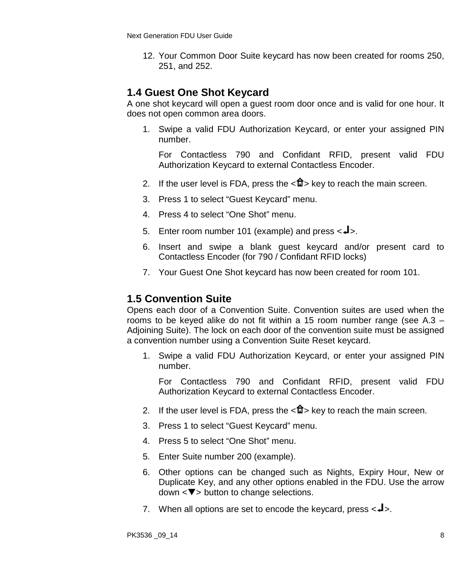12. Your Common Door Suite keycard has now been created for rooms 250, 251, and 252.

### **1.4 Guest One Shot Keycard**

A one shot keycard will open a guest room door once and is valid for one hour. It does not open common area doors.

1. Swipe a valid FDU Authorization Keycard, or enter your assigned PIN number.

For Contactless 790 and Confidant RFID, present valid FDU Authorization Keycard to external Contactless Encoder.

- 2. If the user level is FDA, press the  $\langle \mathbf{f} \rangle$  key to reach the main screen.
- 3. Press 1 to select "Guest Keycard" menu.
- 4. Press 4 to select "One Shot" menu.
- 5. Enter room number 101 (example) and press  $\leftarrow \blacktriangle$ .
- 6. Insert and swipe a blank guest keycard and/or present card to Contactless Encoder (for 790 / Confidant RFID locks)
- 7. Your Guest One Shot keycard has now been created for room 101.

#### **1.5 Convention Suite**

Opens each door of a Convention Suite. Convention suites are used when the rooms to be keyed alike do not fit within a 15 room number range (see A.3 – Adjoining Suite). The lock on each door of the convention suite must be assigned a convention number using a Convention Suite Reset keycard.

1. Swipe a valid FDU Authorization Keycard, or enter your assigned PIN number.

- 2. If the user level is FDA, press the  $\langle \hat{\mathbf{n}} \rangle$  key to reach the main screen.
- 3. Press 1 to select "Guest Keycard" menu.
- 4. Press 5 to select "One Shot" menu.
- 5. Enter Suite number 200 (example).
- 6. Other options can be changed such as Nights, Expiry Hour, New or Duplicate Key, and any other options enabled in the FDU. Use the arrow  $down < **v**$  button to change selections.
- 7. When all options are set to encode the keycard, press  $\langle -\rangle$ .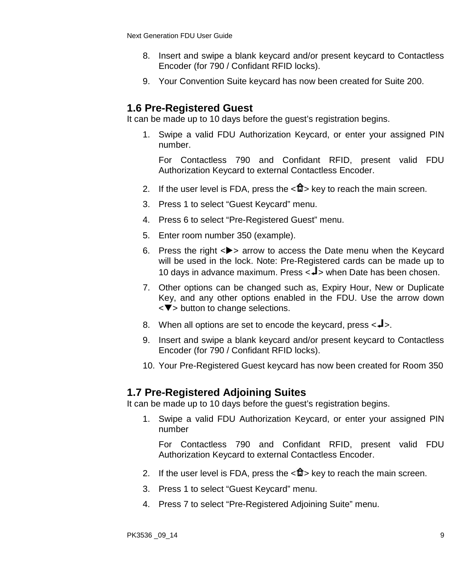- 8. Insert and swipe a blank keycard and/or present keycard to Contactless Encoder (for 790 / Confidant RFID locks).
- 9. Your Convention Suite keycard has now been created for Suite 200.

### **1.6 Pre-Registered Guest**

It can be made up to 10 days before the guest's registration begins.

1. Swipe a valid FDU Authorization Keycard, or enter your assigned PIN number.

For Contactless 790 and Confidant RFID, present valid FDU Authorization Keycard to external Contactless Encoder.

- 2. If the user level is FDA, press the  $\langle \mathbf{f} \rangle$  key to reach the main screen.
- 3. Press 1 to select "Guest Keycard" menu.
- 4. Press 6 to select "Pre-Registered Guest" menu.
- 5. Enter room number 350 (example).
- 6. Press the right  $\langle \rangle$  arrow to access the Date menu when the Kevcard will be used in the lock. Note: Pre-Registered cards can be made up to 10 days in advance maximum. Press <<>>> <<<<<<<br/>Model based chosen.
- 7. Other options can be changed such as, Expiry Hour, New or Duplicate Key, and any other options enabled in the FDU. Use the arrow down <▼> button to change selections.
- 8. When all options are set to encode the keycard, press  $\langle -\rangle$ .
- 9. Insert and swipe a blank keycard and/or present keycard to Contactless Encoder (for 790 / Confidant RFID locks).
- 10. Your Pre-Registered Guest keycard has now been created for Room 350

#### **1.7 Pre-Registered Adjoining Suites**

It can be made up to 10 days before the guest's registration begins.

1. Swipe a valid FDU Authorization Keycard, or enter your assigned PIN number

- 2. If the user level is FDA, press the  $\langle \mathbf{f} \rangle$  key to reach the main screen.
- 3. Press 1 to select "Guest Keycard" menu.
- 4. Press 7 to select "Pre-Registered Adjoining Suite" menu.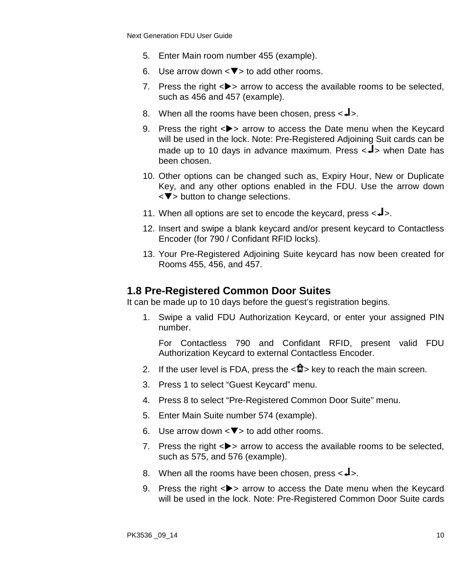- 5. Enter Main room number 455 (example).
- 6. Use arrow down  $\langle \nabla \rangle$  to add other rooms.
- 7. Press the right  $\langle \bullet \rangle$  arrow to access the available rooms to be selected. such as 456 and 457 (example).
- 8. When all the rooms have been chosen, press  $\langle \mathbf{J} \rangle$ .
- 9. Press the right  $\langle \rangle$  arrow to access the Date menu when the Keycard will be used in the lock. Note: Pre-Registered Adjoining Suit cards can be made up to 10 days in advance maximum. Press  $\langle -1 \rangle$  when Date has been chosen.
- 10. Other options can be changed such as, Expiry Hour, New or Duplicate Key, and any other options enabled in the FDU. Use the arrow down  $\langle \nabla \rangle$  button to change selections.
- 11. When all options are set to encode the keycard, press  $\langle 1 \rangle$ .
- 12. Insert and swipe a blank keycard and/or present keycard to Contactless Encoder (for 790 / Confidant RFID locks).
- 13. Your Pre-Registered Adjoining Suite keycard has now been created for Rooms 455, 456, and 457.

#### **1.8 Pre-Registered Common Door Suites**

It can be made up to 10 days before the guest's registration begins.

1. Swipe a valid FDU Authorization Keycard, or enter your assigned PIN number.

- 2. If the user level is FDA, press the  $\langle \mathbf{f} \rangle$  key to reach the main screen.
- 3. Press 1 to select "Guest Keycard" menu.
- 4. Press 8 to select "Pre-Registered Common Door Suite" menu.
- 5. Enter Main Suite number 574 (example).
- 6. Use arrow down  $\langle \nabla \rangle$  to add other rooms.
- 7. Press the right  $\langle \bullet \rangle$  arrow to access the available rooms to be selected, such as 575, and 576 (example).
- 8. When all the rooms have been chosen, press  $\leftarrow \rightarrow \leftarrow$ .
- 9. Press the right  $\langle \rangle$  arrow to access the Date menu when the Keycard will be used in the lock. Note: Pre-Registered Common Door Suite cards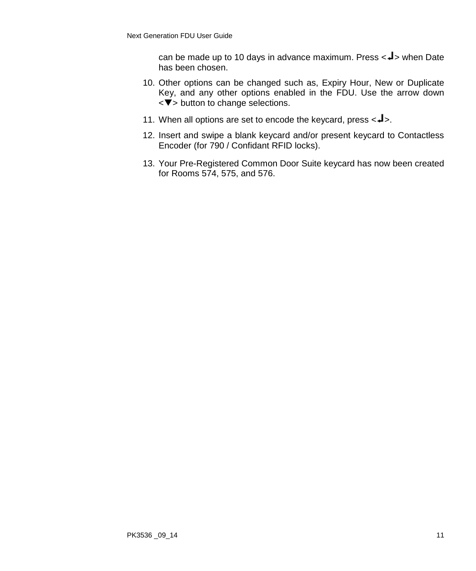can be made up to 10 days in advance maximum. Press  $\lt\downarrow$  when Date has been chosen.

- 10. Other options can be changed such as, Expiry Hour, New or Duplicate Key, and any other options enabled in the FDU. Use the arrow down  $\overline{\mathbf{y}}$  button to change selections.
- 11. When all options are set to encode the keycard, press  $\langle -\rangle$ .
- 12. Insert and swipe a blank keycard and/or present keycard to Contactless Encoder (for 790 / Confidant RFID locks).
- 13. Your Pre-Registered Common Door Suite keycard has now been created for Rooms 574, 575, and 576.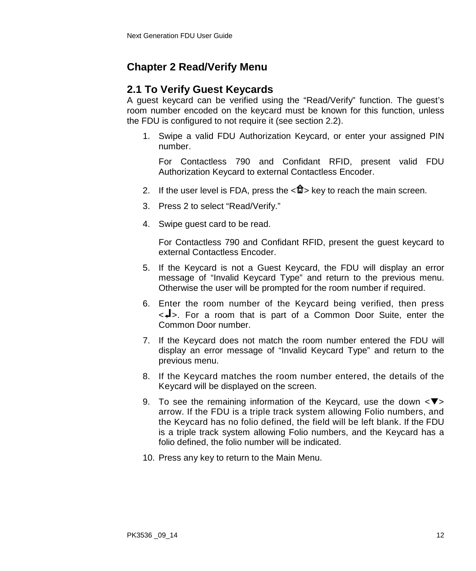# **Chapter 2 Read/Verify Menu**

# **2.1 To Verify Guest Keycards**

A guest keycard can be verified using the "Read/Verify" function. The guest's room number encoded on the keycard must be known for this function, unless the FDU is configured to not require it (see section 2.2).

1. Swipe a valid FDU Authorization Keycard, or enter your assigned PIN number.

For Contactless 790 and Confidant RFID, present valid FDU Authorization Keycard to external Contactless Encoder.

- 2. If the user level is FDA, press the  $\langle \mathbf{u} \rangle$  key to reach the main screen.
- 3. Press 2 to select "Read/Verify."
- 4. Swipe guest card to be read.

For Contactless 790 and Confidant RFID, present the guest keycard to external Contactless Encoder.

- 5. If the Keycard is not a Guest Keycard, the FDU will display an error message of "Invalid Keycard Type" and return to the previous menu. Otherwise the user will be prompted for the room number if required.
- 6. Enter the room number of the Keycard being verified, then press  $\langle -1 \rangle$ . For a room that is part of a Common Door Suite, enter the Common Door number.
- 7. If the Keycard does not match the room number entered the FDU will display an error message of "Invalid Keycard Type" and return to the previous menu.
- 8. If the Keycard matches the room number entered, the details of the Keycard will be displayed on the screen.
- 9. To see the remaining information of the Keycard, use the down  $\langle \nabla \rangle$ arrow. If the FDU is a triple track system allowing Folio numbers, and the Keycard has no folio defined, the field will be left blank. If the FDU is a triple track system allowing Folio numbers, and the Keycard has a folio defined, the folio number will be indicated.
- 10. Press any key to return to the Main Menu.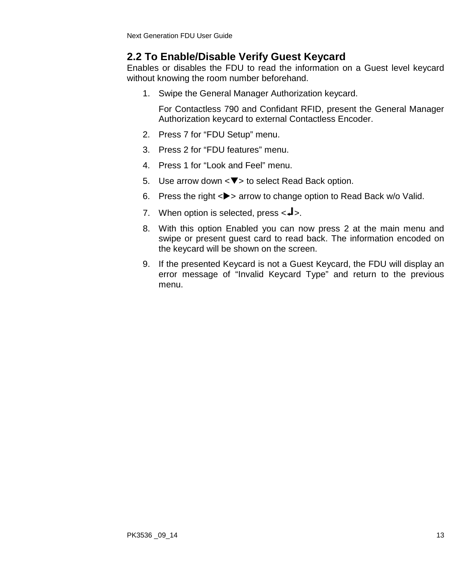### **2.2 To Enable/Disable Verify Guest Keycard**

Enables or disables the FDU to read the information on a Guest level keycard without knowing the room number beforehand.

1. Swipe the General Manager Authorization keycard.

For Contactless 790 and Confidant RFID, present the General Manager Authorization keycard to external Contactless Encoder.

- 2. Press 7 for "FDU Setup" menu.
- 3. Press 2 for "FDU features" menu.
- 4. Press 1 for "Look and Feel" menu.
- 5. Use arrow down  $\langle \nabla \rangle$  to select Read Back option.
- 6. Press the right  $\langle \rangle$  arrow to change option to Read Back w/o Valid.
- 7. When option is selected, press  $\leftarrow \blacktriangle$ .
- 8. With this option Enabled you can now press 2 at the main menu and swipe or present guest card to read back. The information encoded on the keycard will be shown on the screen.
- 9. If the presented Keycard is not a Guest Keycard, the FDU will display an error message of "Invalid Keycard Type" and return to the previous menu.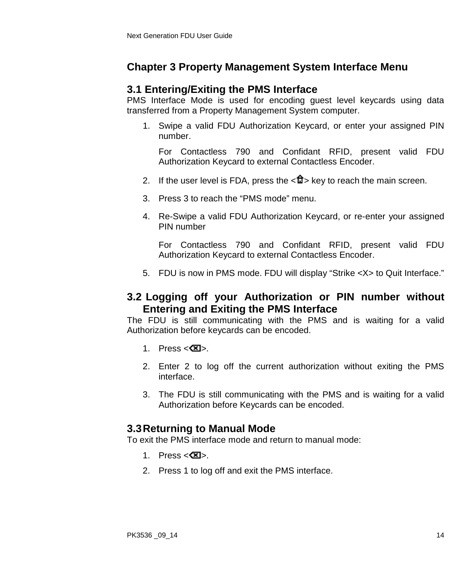# **Chapter 3 Property Management System Interface Menu**

### **3.1 Entering/Exiting the PMS Interface**

PMS Interface Mode is used for encoding guest level keycards using data transferred from a Property Management System computer.

1. Swipe a valid FDU Authorization Keycard, or enter your assigned PIN number.

For Contactless 790 and Confidant RFID, present valid FDU Authorization Keycard to external Contactless Encoder.

- 2. If the user level is FDA, press the  $\langle \mathbf{u} \rangle$  key to reach the main screen.
- 3. Press 3 to reach the "PMS mode" menu.
- 4. Re-Swipe a valid FDU Authorization Keycard, or re-enter your assigned PIN number

For Contactless 790 and Confidant RFID, present valid FDU Authorization Keycard to external Contactless Encoder.

5. FDU is now in PMS mode. FDU will display "Strike <X> to Quit Interface."

### **3.2 Logging off your Authorization or PIN number without Entering and Exiting the PMS Interface**

The FDU is still communicating with the PMS and is waiting for a valid Authorization before keycards can be encoded.

- 1. Press  $\langle \mathbf{\Sigma} \rangle$ .
- 2. Enter 2 to log off the current authorization without exiting the PMS interface.
- 3. The FDU is still communicating with the PMS and is waiting for a valid Authorization before Keycards can be encoded.

# **3.3Returning to Manual Mode**

To exit the PMS interface mode and return to manual mode:

- 1. Press  $\langle \mathbf{\mathbb{Z}} \rangle$ .
- 2. Press 1 to log off and exit the PMS interface.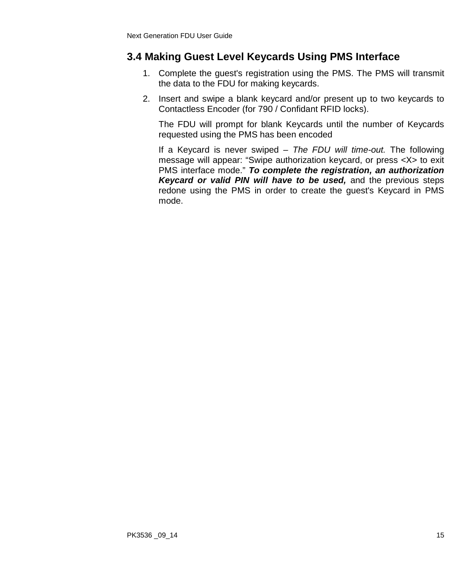# **3.4 Making Guest Level Keycards Using PMS Interface**

- 1. Complete the guest's registration using the PMS. The PMS will transmit the data to the FDU for making keycards.
- 2. Insert and swipe a blank keycard and/or present up to two keycards to Contactless Encoder (for 790 / Confidant RFID locks).

The FDU will prompt for blank Keycards until the number of Keycards requested using the PMS has been encoded

If a Keycard is never swiped *– The FDU will time-out.* The following message will appear: "Swipe authorization keycard, or press <X> to exit PMS interface mode." *To complete the registration, an authorization Keycard or valid PIN will have to be used,* and the previous steps redone using the PMS in order to create the guest's Keycard in PMS mode.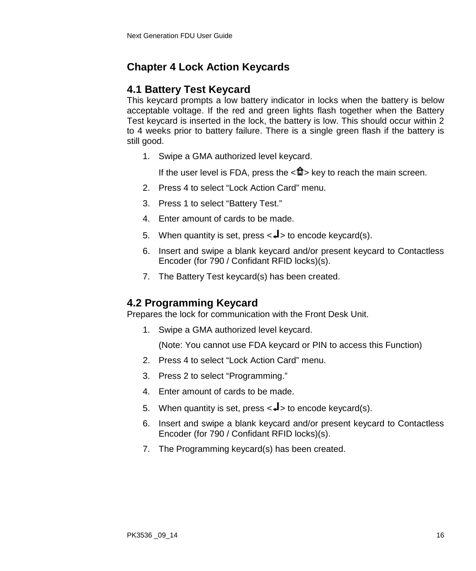# **Chapter 4 Lock Action Keycards**

# **4.1 Battery Test Keycard**

This keycard prompts a low battery indicator in locks when the battery is below acceptable voltage. If the red and green lights flash together when the Battery Test keycard is inserted in the lock, the battery is low. This should occur within 2 to 4 weeks prior to battery failure. There is a single green flash if the battery is still good.

1. Swipe a GMA authorized level keycard.

If the user level is FDA, press the  $\langle \mathbf{f} \rangle$  key to reach the main screen.

- 2. Press 4 to select "Lock Action Card" menu.
- 3. Press 1 to select "Battery Test."
- 4. Enter amount of cards to be made.
- 5. When quantity is set, press  $\langle \downarrow \rangle$  to encode keycard(s).
- 6. Insert and swipe a blank keycard and/or present keycard to Contactless Encoder (for 790 / Confidant RFID locks)(s).
- 7. The Battery Test keycard(s) has been created.

# **4.2 Programming Keycard**

Prepares the lock for communication with the Front Desk Unit.

1. Swipe a GMA authorized level keycard.

- 2. Press 4 to select "Lock Action Card" menu.
- 3. Press 2 to select "Programming."
- 4. Enter amount of cards to be made.
- 5. When quantity is set, press  $\langle \downarrow \rangle$  to encode keycard(s).
- 6. Insert and swipe a blank keycard and/or present keycard to Contactless Encoder (for 790 / Confidant RFID locks)(s).
- 7. The Programming keycard(s) has been created.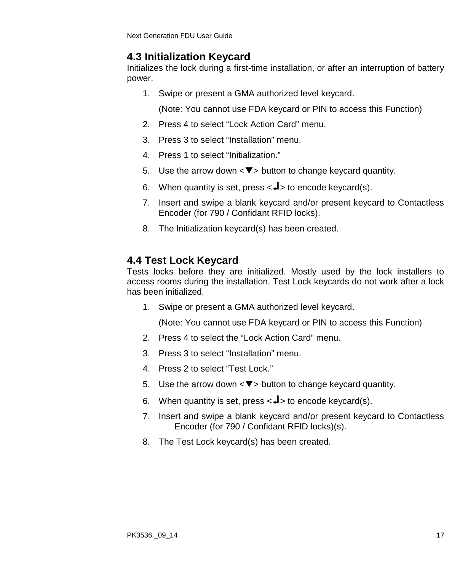# **4.3 Initialization Keycard**

Initializes the lock during a first-time installation, or after an interruption of battery power.

1. Swipe or present a GMA authorized level keycard.

(Note: You cannot use FDA keycard or PIN to access this Function)

- 2. Press 4 to select "Lock Action Card" menu.
- 3. Press 3 to select "Installation" menu.
- 4. Press 1 to select "Initialization."
- 5. Use the arrow down  $\langle \nabla \rangle$  button to change keycard quantity.
- 6. When quantity is set, press  $\langle \downarrow \rangle$  to encode keycard(s).
- 7. Insert and swipe a blank keycard and/or present keycard to Contactless Encoder (for 790 / Confidant RFID locks).
- 8. The Initialization keycard(s) has been created.

# **4.4 Test Lock Keycard**

Tests locks before they are initialized. Mostly used by the lock installers to access rooms during the installation. Test Lock keycards do not work after a lock has been initialized.

1. Swipe or present a GMA authorized level keycard.

- 2. Press 4 to select the "Lock Action Card" menu.
- 3. Press 3 to select "Installation" menu.
- 4. Press 2 to select "Test Lock."
- 5. Use the arrow down  $\langle \nabla \rangle$  button to change keycard quantity.
- 6. When quantity is set, press  $\lt \neq$  to encode keycard(s).
- 7. Insert and swipe a blank keycard and/or present keycard to Contactless Encoder (for 790 / Confidant RFID locks)(s).
- 8. The Test Lock keycard(s) has been created.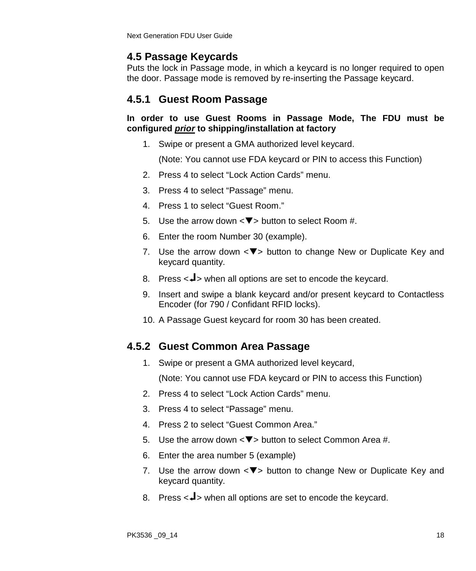# **4.5 Passage Keycards**

Puts the lock in Passage mode, in which a keycard is no longer required to open the door. Passage mode is removed by re-inserting the Passage keycard.

# **4.5.1 Guest Room Passage**

#### **In order to use Guest Rooms in Passage Mode, The FDU must be configured** *prior* **to shipping/installation at factory**

1. Swipe or present a GMA authorized level keycard.

(Note: You cannot use FDA keycard or PIN to access this Function)

- 2. Press 4 to select "Lock Action Cards" menu.
- 3. Press 4 to select "Passage" menu.
- 4. Press 1 to select "Guest Room."
- 5. Use the arrow down  $\langle \nabla \rangle$  button to select Room #.
- 6. Enter the room Number 30 (example).
- 7. Use the arrow down  $\langle \nabla \rangle$  button to change New or Duplicate Key and keycard quantity.
- 8. Press  $\leq$   $\blacktriangleleft$  > when all options are set to encode the keycard.
- 9. Insert and swipe a blank keycard and/or present keycard to Contactless Encoder (for 790 / Confidant RFID locks).
- 10. A Passage Guest keycard for room 30 has been created.

# **4.5.2 Guest Common Area Passage**

1. Swipe or present a GMA authorized level keycard,

- 2. Press 4 to select "Lock Action Cards" menu.
- 3. Press 4 to select "Passage" menu.
- 4. Press 2 to select "Guest Common Area."
- 5. Use the arrow down  $\langle \nabla \rangle$  button to select Common Area #.
- 6. Enter the area number 5 (example)
- 7. Use the arrow down  $\langle \nabla \rangle$  button to change New or Duplicate Key and keycard quantity.
- 8. Press  $\lt \neq$  when all options are set to encode the keycard.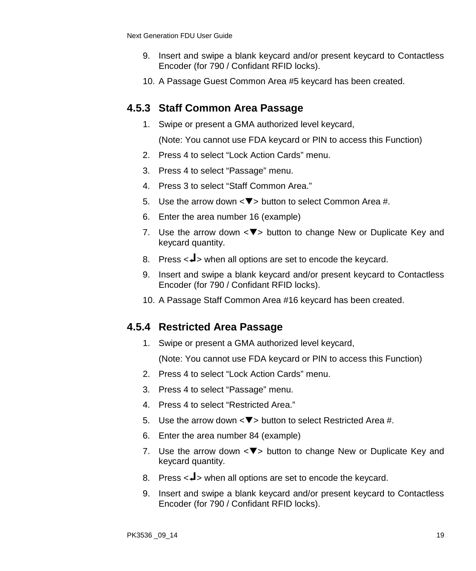- 9. Insert and swipe a blank keycard and/or present keycard to Contactless Encoder (for 790 / Confidant RFID locks).
- 10. A Passage Guest Common Area #5 keycard has been created.

### **4.5.3 Staff Common Area Passage**

1. Swipe or present a GMA authorized level keycard,

(Note: You cannot use FDA keycard or PIN to access this Function)

- 2. Press 4 to select "Lock Action Cards" menu.
- 3. Press 4 to select "Passage" menu.
- 4. Press 3 to select "Staff Common Area."
- 5. Use the arrow down  $\langle \nabla \rangle$  button to select Common Area #.
- 6. Enter the area number 16 (example)
- 7. Use the arrow down  $\langle \nabla \rangle$  button to change New or Duplicate Key and keycard quantity.
- 8. Press  $\leq$   $\blacktriangleleft$  > when all options are set to encode the keycard.
- 9. Insert and swipe a blank keycard and/or present keycard to Contactless Encoder (for 790 / Confidant RFID locks).
- 10. A Passage Staff Common Area #16 keycard has been created.

#### **4.5.4 Restricted Area Passage**

1. Swipe or present a GMA authorized level keycard,

- 2. Press 4 to select "Lock Action Cards" menu.
- 3. Press 4 to select "Passage" menu.
- 4. Press 4 to select "Restricted Area."
- 5. Use the arrow down  $\langle \nabla \rangle$  button to select Restricted Area #.
- 6. Enter the area number 84 (example)
- 7. Use the arrow down  $\langle \nabla \rangle$  button to change New or Duplicate Key and keycard quantity.
- 8. Press  $\leq$   $\blacktriangleleft$  > when all options are set to encode the keycard.
- 9. Insert and swipe a blank keycard and/or present keycard to Contactless Encoder (for 790 / Confidant RFID locks).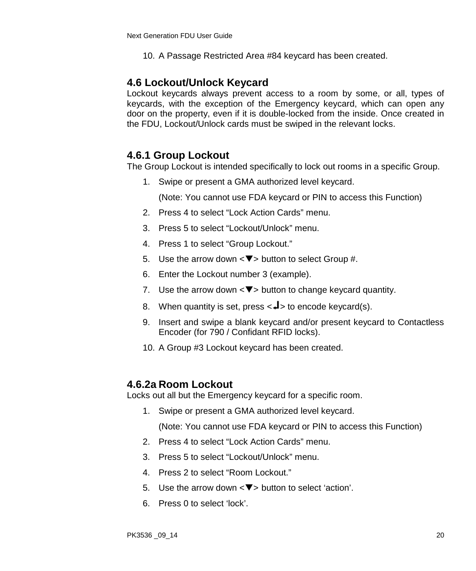10. A Passage Restricted Area #84 keycard has been created.

#### **4.6 Lockout/Unlock Keycard**

Lockout keycards always prevent access to a room by some, or all, types of keycards, with the exception of the Emergency keycard, which can open any door on the property, even if it is double-locked from the inside. Once created in the FDU, Lockout/Unlock cards must be swiped in the relevant locks.

#### **4.6.1 Group Lockout**

The Group Lockout is intended specifically to lock out rooms in a specific Group.

1. Swipe or present a GMA authorized level keycard.

(Note: You cannot use FDA keycard or PIN to access this Function)

- 2. Press 4 to select "Lock Action Cards" menu.
- 3. Press 5 to select "Lockout/Unlock" menu.
- 4. Press 1 to select "Group Lockout."
- 5. Use the arrow down  $\langle \nabla \rangle$  button to select Group #.
- 6. Enter the Lockout number 3 (example).
- 7. Use the arrow down  $\langle \nabla \rangle$  button to change keycard quantity.
- 8. When quantity is set, press  $\langle -1 \rangle$  to encode keycard(s).
- 9. Insert and swipe a blank keycard and/or present keycard to Contactless Encoder (for 790 / Confidant RFID locks).
- 10. A Group #3 Lockout keycard has been created.

#### **4.6.2a Room Lockout**

Locks out all but the Emergency keycard for a specific room.

1. Swipe or present a GMA authorized level keycard.

- 2. Press 4 to select "Lock Action Cards" menu.
- 3. Press 5 to select "Lockout/Unlock" menu.
- 4. Press 2 to select "Room Lockout."
- 5. Use the arrow down  $\langle \nabla \rangle$  button to select 'action'.
- 6. Press 0 to select 'lock'.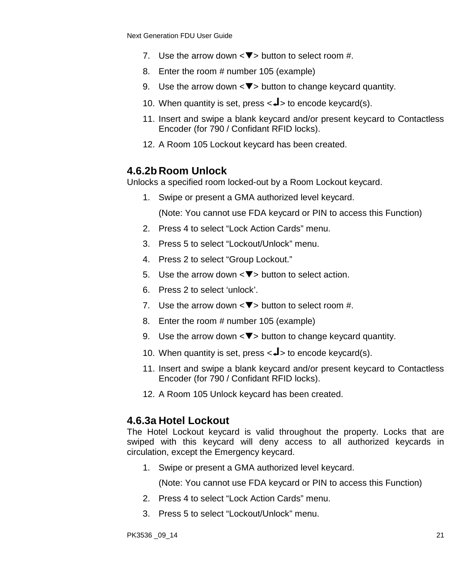- 7. Use the arrow down  $\langle \nabla \rangle$  button to select room #.
- 8. Enter the room # number 105 (example)
- 9. Use the arrow down  $\langle \nabla \rangle$  button to change keycard quantity.
- 10. When quantity is set, press  $\langle -1 \rangle$  to encode keycard(s).
- 11. Insert and swipe a blank keycard and/or present keycard to Contactless Encoder (for 790 / Confidant RFID locks).
- 12. A Room 105 Lockout keycard has been created.

#### **4.6.2b Room Unlock**

Unlocks a specified room locked-out by a Room Lockout keycard.

1. Swipe or present a GMA authorized level keycard.

(Note: You cannot use FDA keycard or PIN to access this Function)

- 2. Press 4 to select "Lock Action Cards" menu.
- 3. Press 5 to select "Lockout/Unlock" menu.
- 4. Press 2 to select "Group Lockout."
- 5. Use the arrow down  $\langle \nabla \rangle$  button to select action.
- 6. Press 2 to select 'unlock'.
- 7. Use the arrow down  $\leq$   $\blacktriangledown$  button to select room #.
- 8. Enter the room # number 105 (example)
- 9. Use the arrow down  $\langle \nabla \rangle$  button to change keycard quantity.
- 10. When quantity is set, press  $\langle -1 \rangle$  to encode keycard(s).
- 11. Insert and swipe a blank keycard and/or present keycard to Contactless Encoder (for 790 / Confidant RFID locks).
- 12. A Room 105 Unlock keycard has been created.

#### **4.6.3a Hotel Lockout**

The Hotel Lockout keycard is valid throughout the property. Locks that are swiped with this keycard will deny access to all authorized keycards in circulation, except the Emergency keycard.

1. Swipe or present a GMA authorized level keycard.

- 2. Press 4 to select "Lock Action Cards" menu.
- 3. Press 5 to select "Lockout/Unlock" menu.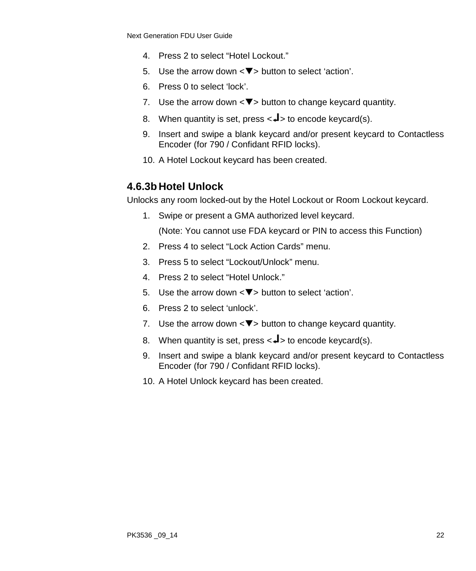- 4. Press 2 to select "Hotel Lockout."
- 5. Use the arrow down  $\langle \nabla \rangle$  button to select 'action'.
- 6. Press 0 to select 'lock'.
- 7. Use the arrow down  $\langle \nabla \rangle$  button to change keycard quantity.
- 8. When quantity is set, press  $\lt \neq$  to encode keycard(s).
- 9. Insert and swipe a blank keycard and/or present keycard to Contactless Encoder (for 790 / Confidant RFID locks).
- 10. A Hotel Lockout keycard has been created.

# **4.6.3b Hotel Unlock**

Unlocks any room locked-out by the Hotel Lockout or Room Lockout keycard.

1. Swipe or present a GMA authorized level keycard.

- 2. Press 4 to select "Lock Action Cards" menu.
- 3. Press 5 to select "Lockout/Unlock" menu.
- 4. Press 2 to select "Hotel Unlock."
- 5. Use the arrow down  $\langle \nabla \rangle$  button to select 'action'.
- 6. Press 2 to select 'unlock'.
- 7. Use the arrow down  $\langle \nabla \rangle$  button to change keycard quantity.
- 8. When quantity is set, press  $\langle -1 \rangle$  to encode keycard(s).
- 9. Insert and swipe a blank keycard and/or present keycard to Contactless Encoder (for 790 / Confidant RFID locks).
- 10. A Hotel Unlock keycard has been created.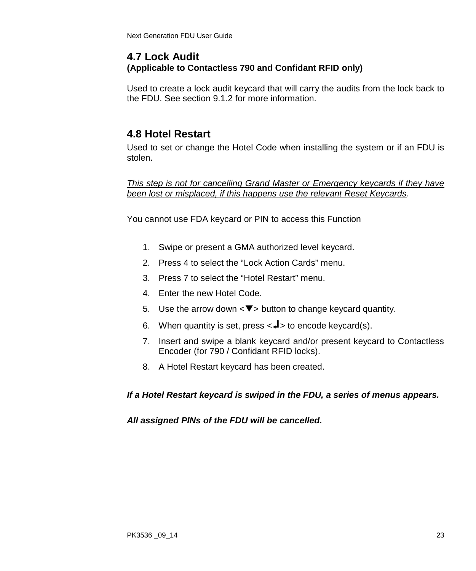### **4.7 Lock Audit (Applicable to Contactless 790 and Confidant RFID only)**

Used to create a lock audit keycard that will carry the audits from the lock back to the FDU. See section 9.1.2 for more information.

# **4.8 Hotel Restart**

Used to set or change the Hotel Code when installing the system or if an FDU is stolen.

*This step is not for cancelling Grand Master or Emergency keycards if they have been lost or misplaced, if this happens use the relevant Reset Keycards*.

You cannot use FDA keycard or PIN to access this Function

- 1. Swipe or present a GMA authorized level keycard.
- 2. Press 4 to select the "Lock Action Cards" menu.
- 3. Press 7 to select the "Hotel Restart" menu.
- 4. Enter the new Hotel Code.
- 5. Use the arrow down  $\langle \nabla \rangle$  button to change keycard quantity.
- 6. When quantity is set, press  $\langle \downarrow \rangle$  to encode keycard(s).
- 7. Insert and swipe a blank keycard and/or present keycard to Contactless Encoder (for 790 / Confidant RFID locks).
- 8. A Hotel Restart keycard has been created.

#### *If a Hotel Restart keycard is swiped in the FDU, a series of menus appears.*

#### *All assigned PINs of the FDU will be cancelled.*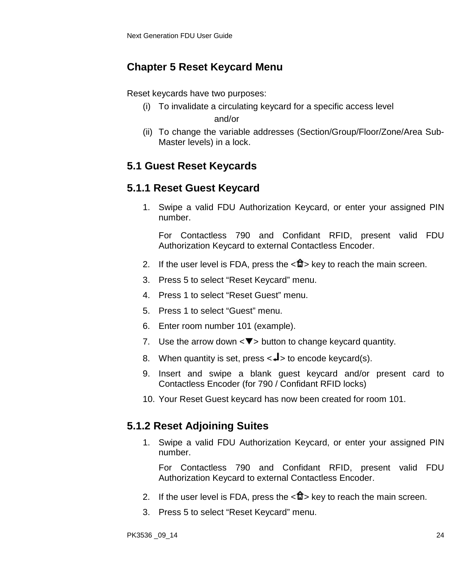# **Chapter 5 Reset Keycard Menu**

Reset keycards have two purposes:

- (i) To invalidate a circulating keycard for a specific access level and/or
- (ii) To change the variable addresses (Section/Group/Floor/Zone/Area Sub-Master levels) in a lock.

# **5.1 Guest Reset Keycards**

# **5.1.1 Reset Guest Keycard**

1. Swipe a valid FDU Authorization Keycard, or enter your assigned PIN number.

For Contactless 790 and Confidant RFID, present valid FDU Authorization Keycard to external Contactless Encoder.

- 2. If the user level is FDA, press the  $\langle \mathbf{f} \rangle$  key to reach the main screen.
- 3. Press 5 to select "Reset Keycard" menu.
- 4. Press 1 to select "Reset Guest" menu.
- 5. Press 1 to select "Guest" menu.
- 6. Enter room number 101 (example).
- 7. Use the arrow down  $\leq \blacktriangledown$  button to change keycard quantity.
- 8. When quantity is set, press  $\langle -1 \rangle$  to encode keycard(s).
- 9. Insert and swipe a blank guest keycard and/or present card to Contactless Encoder (for 790 / Confidant RFID locks)
- 10. Your Reset Guest keycard has now been created for room 101.

# **5.1.2 Reset Adjoining Suites**

1. Swipe a valid FDU Authorization Keycard, or enter your assigned PIN number.

- 2. If the user level is FDA, press the  $\langle \mathbf{f} \rangle$  key to reach the main screen.
- 3. Press 5 to select "Reset Keycard" menu.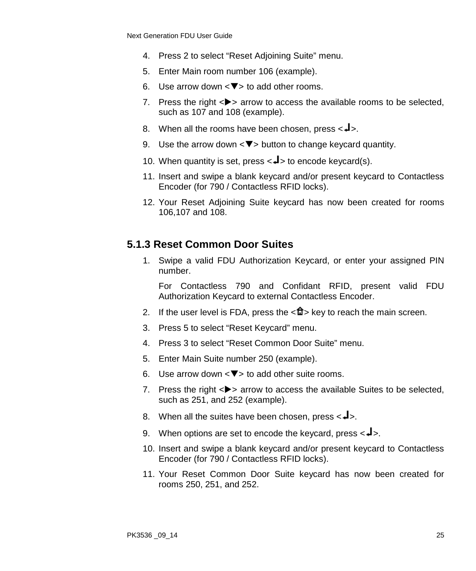- 4. Press 2 to select "Reset Adjoining Suite" menu.
- 5. Enter Main room number 106 (example).
- 6. Use arrow down  $\langle \nabla \rangle$  to add other rooms.
- 7. Press the right  $\epsilon$   $\rightarrow$  arrow to access the available rooms to be selected. such as 107 and 108 (example).
- 8. When all the rooms have been chosen, press  $\langle -\frac{1}{2} \rangle$ .
- 9. Use the arrow down  $\langle \nabla \rangle$  button to change keycard quantity.
- 10. When quantity is set, press  $\lt \downarrow$  to encode keycard(s).
- 11. Insert and swipe a blank keycard and/or present keycard to Contactless Encoder (for 790 / Contactless RFID locks).
- 12. Your Reset Adjoining Suite keycard has now been created for rooms 106,107 and 108.

### **5.1.3 Reset Common Door Suites**

1. Swipe a valid FDU Authorization Keycard, or enter your assigned PIN number.

- 2. If the user level is FDA, press the  $\langle \mathbf{f} \rangle$  key to reach the main screen.
- 3. Press 5 to select "Reset Keycard" menu.
- 4. Press 3 to select "Reset Common Door Suite" menu.
- 5. Enter Main Suite number 250 (example).
- 6. Use arrow down  $\leq$   $\blacktriangledown$  to add other suite rooms.
- 7. Press the right  $\langle \bullet \rangle$  arrow to access the available Suites to be selected. such as 251, and 252 (example).
- 8. When all the suites have been chosen, press  $\leftarrow \rightarrow$ .
- 9. When options are set to encode the keycard, press  $\langle -\rangle$ .
- 10. Insert and swipe a blank keycard and/or present keycard to Contactless Encoder (for 790 / Contactless RFID locks).
- 11. Your Reset Common Door Suite keycard has now been created for rooms 250, 251, and 252.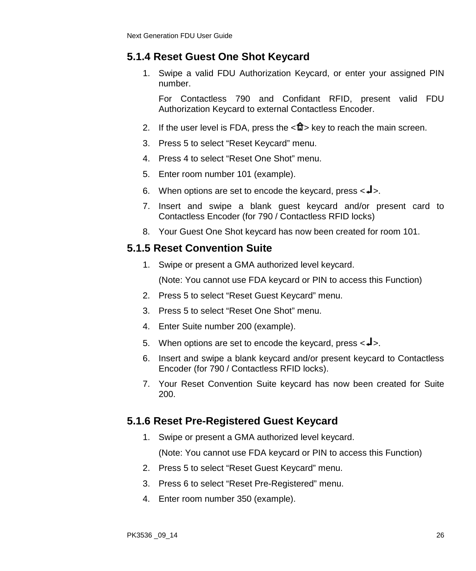### **5.1.4 Reset Guest One Shot Keycard**

1. Swipe a valid FDU Authorization Keycard, or enter your assigned PIN number.

For Contactless 790 and Confidant RFID, present valid FDU Authorization Keycard to external Contactless Encoder.

- 2. If the user level is FDA, press the  $\langle \mathbf{u} \rangle$  key to reach the main screen.
- 3. Press 5 to select "Reset Keycard" menu.
- 4. Press 4 to select "Reset One Shot" menu.
- 5. Enter room number 101 (example).
- 6. When options are set to encode the keycard, press  $\leq 1$ .
- 7. Insert and swipe a blank guest keycard and/or present card to Contactless Encoder (for 790 / Contactless RFID locks)
- 8. Your Guest One Shot keycard has now been created for room 101.

#### **5.1.5 Reset Convention Suite**

1. Swipe or present a GMA authorized level keycard.

(Note: You cannot use FDA keycard or PIN to access this Function)

- 2. Press 5 to select "Reset Guest Keycard" menu.
- 3. Press 5 to select "Reset One Shot" menu.
- 4. Enter Suite number 200 (example).
- 5. When options are set to encode the keycard, press  $\langle -\rangle$ .
- 6. Insert and swipe a blank keycard and/or present keycard to Contactless Encoder (for 790 / Contactless RFID locks).
- 7. Your Reset Convention Suite keycard has now been created for Suite 200.

# **5.1.6 Reset Pre-Registered Guest Keycard**

1. Swipe or present a GMA authorized level keycard.

- 2. Press 5 to select "Reset Guest Keycard" menu.
- 3. Press 6 to select "Reset Pre-Registered" menu.
- 4. Enter room number 350 (example).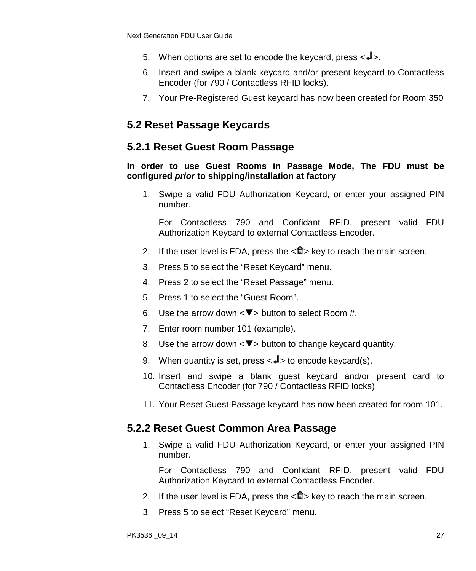- 5. When options are set to encode the keycard, press  $\langle -1 \rangle$ .
- 6. Insert and swipe a blank keycard and/or present keycard to Contactless Encoder (for 790 / Contactless RFID locks).
- 7. Your Pre-Registered Guest keycard has now been created for Room 350

# **5.2 Reset Passage Keycards**

#### **5.2.1 Reset Guest Room Passage**

#### **In order to use Guest Rooms in Passage Mode, The FDU must be configured** *prior* **to shipping/installation at factory**

1. Swipe a valid FDU Authorization Keycard, or enter your assigned PIN number.

For Contactless 790 and Confidant RFID, present valid FDU Authorization Keycard to external Contactless Encoder.

- 2. If the user level is FDA, press the  $\langle \mathbf{u} \rangle$  key to reach the main screen.
- 3. Press 5 to select the "Reset Keycard" menu.
- 4. Press 2 to select the "Reset Passage" menu.
- 5. Press 1 to select the "Guest Room".
- 6. Use the arrow down  $\langle \nabla \rangle$  button to select Room #.
- 7. Enter room number 101 (example).
- 8. Use the arrow down  $\langle \nabla \rangle$  button to change keycard quantity.
- 9. When quantity is set, press  $\lt \downarrow$  to encode keycard(s).
- 10. Insert and swipe a blank guest keycard and/or present card to Contactless Encoder (for 790 / Contactless RFID locks)
- 11. Your Reset Guest Passage keycard has now been created for room 101.

#### **5.2.2 Reset Guest Common Area Passage**

1. Swipe a valid FDU Authorization Keycard, or enter your assigned PIN number.

- 2. If the user level is FDA, press the  $\langle \mathbf{u} \rangle$  key to reach the main screen.
- 3. Press 5 to select "Reset Keycard" menu.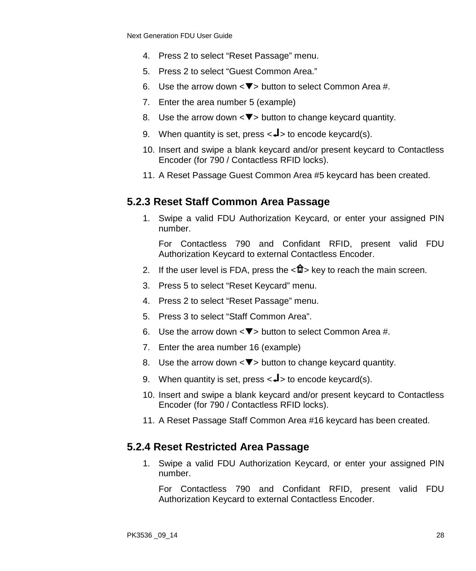- 4. Press 2 to select "Reset Passage" menu.
- 5. Press 2 to select "Guest Common Area."
- 6. Use the arrow down  $\langle \nabla \rangle$  button to select Common Area #.
- 7. Enter the area number 5 (example)
- 8. Use the arrow down  $\langle \nabla \rangle$  button to change keycard quantity.
- 9. When quantity is set, press  $\langle -1 \rangle$  to encode keycard(s).
- 10. Insert and swipe a blank keycard and/or present keycard to Contactless Encoder (for 790 / Contactless RFID locks).
- 11. A Reset Passage Guest Common Area #5 keycard has been created.

#### **5.2.3 Reset Staff Common Area Passage**

1. Swipe a valid FDU Authorization Keycard, or enter your assigned PIN number.

For Contactless 790 and Confidant RFID, present valid FDU Authorization Keycard to external Contactless Encoder.

- 2. If the user level is FDA, press the  $\langle \mathbf{f} \rangle$  key to reach the main screen.
- 3. Press 5 to select "Reset Keycard" menu.
- 4. Press 2 to select "Reset Passage" menu.
- 5. Press 3 to select "Staff Common Area".
- 6. Use the arrow down  $\langle \nabla \rangle$  button to select Common Area #.
- 7. Enter the area number 16 (example)
- 8. Use the arrow down  $\langle \nabla \rangle$  button to change keycard quantity.
- 9. When quantity is set, press  $\langle -1 \rangle$  to encode keycard(s).
- 10. Insert and swipe a blank keycard and/or present keycard to Contactless Encoder (for 790 / Contactless RFID locks).
- 11. A Reset Passage Staff Common Area #16 keycard has been created.

#### **5.2.4 Reset Restricted Area Passage**

1. Swipe a valid FDU Authorization Keycard, or enter your assigned PIN number.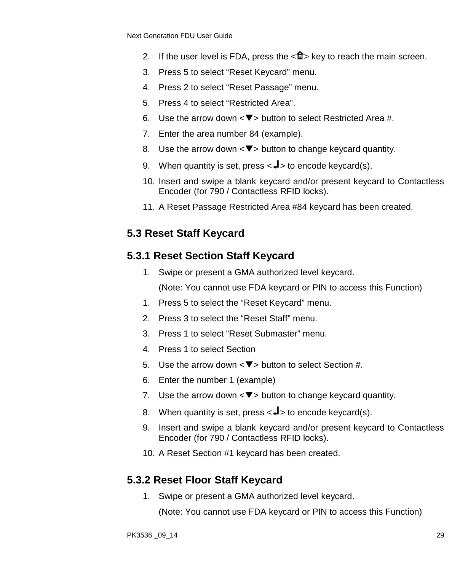- 2. If the user level is FDA, press the  $\langle \mathbf{f} \rangle$  key to reach the main screen.
- 3. Press 5 to select "Reset Keycard" menu.
- 4. Press 2 to select "Reset Passage" menu.
- 5. Press 4 to select "Restricted Area".
- 6. Use the arrow down  $\langle \nabla \rangle$  button to select Restricted Area #.
- 7. Enter the area number 84 (example).
- 8. Use the arrow down  $\langle \nabla \rangle$  button to change keycard quantity.
- 9. When quantity is set, press  $\lt \downarrow$  to encode keycard(s).
- 10. Insert and swipe a blank keycard and/or present keycard to Contactless Encoder (for 790 / Contactless RFID locks).
- 11. A Reset Passage Restricted Area #84 keycard has been created.

### **5.3 Reset Staff Keycard**

#### **5.3.1 Reset Section Staff Keycard**

1. Swipe or present a GMA authorized level keycard.

(Note: You cannot use FDA keycard or PIN to access this Function)

- 1. Press 5 to select the "Reset Keycard" menu.
- 2. Press 3 to select the "Reset Staff" menu.
- 3. Press 1 to select "Reset Submaster" menu.
- 4. Press 1 to select Section
- 5. Use the arrow down  $\langle \nabla \rangle$  button to select Section #.
- 6. Enter the number 1 (example)
- 7. Use the arrow down  $\langle \nabla \rangle$  button to change keycard quantity.
- 8. When quantity is set, press  $\lt \neq$  to encode keycard(s).
- 9. Insert and swipe a blank keycard and/or present keycard to Contactless Encoder (for 790 / Contactless RFID locks).
- 10. A Reset Section #1 keycard has been created.

#### **5.3.2 Reset Floor Staff Keycard**

1. Swipe or present a GMA authorized level keycard.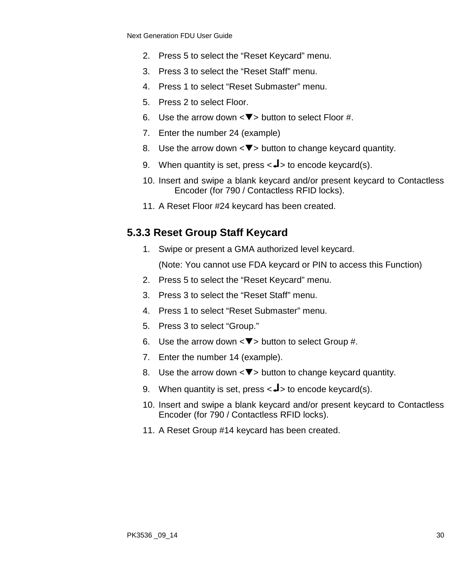- 2. Press 5 to select the "Reset Keycard" menu.
- 3. Press 3 to select the "Reset Staff" menu.
- 4. Press 1 to select "Reset Submaster" menu.
- 5. Press 2 to select Floor.
- 6. Use the arrow down  $\langle \nabla \rangle$  button to select Floor #.
- 7. Enter the number 24 (example)
- 8. Use the arrow down  $\langle \nabla \rangle$  button to change keycard quantity.
- 9. When quantity is set, press  $\lt \downarrow$  to encode keycard(s).
- 10. Insert and swipe a blank keycard and/or present keycard to Contactless Encoder (for 790 / Contactless RFID locks).
- 11. A Reset Floor #24 keycard has been created.

#### **5.3.3 Reset Group Staff Keycard**

1. Swipe or present a GMA authorized level keycard.

- 2. Press 5 to select the "Reset Keycard" menu.
- 3. Press 3 to select the "Reset Staff" menu.
- 4. Press 1 to select "Reset Submaster" menu.
- 5. Press 3 to select "Group."
- 6. Use the arrow down  $\langle \nabla \rangle$  button to select Group #.
- 7. Enter the number 14 (example).
- 8. Use the arrow down  $\langle \nabla \rangle$  button to change keycard quantity.
- 9. When quantity is set, press  $\langle -1 \rangle$  to encode keycard(s).
- 10. Insert and swipe a blank keycard and/or present keycard to Contactless Encoder (for 790 / Contactless RFID locks).
- 11. A Reset Group #14 keycard has been created.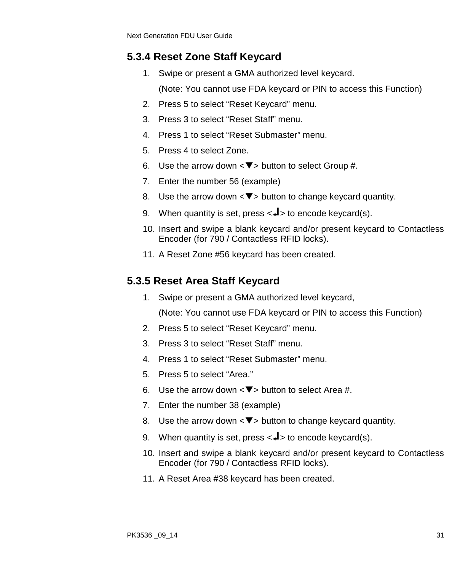# **5.3.4 Reset Zone Staff Keycard**

- 1. Swipe or present a GMA authorized level keycard.
	- (Note: You cannot use FDA keycard or PIN to access this Function)
- 2. Press 5 to select "Reset Keycard" menu.
- 3. Press 3 to select "Reset Staff" menu.
- 4. Press 1 to select "Reset Submaster" menu.
- 5. Press 4 to select Zone.
- 6. Use the arrow down  $\langle \nabla \rangle$  button to select Group #.
- 7. Enter the number 56 (example)
- 8. Use the arrow down  $\langle \nabla \rangle$  button to change keycard quantity.
- 9. When quantity is set, press  $\langle -1 \rangle$  to encode keycard(s).
- 10. Insert and swipe a blank keycard and/or present keycard to Contactless Encoder (for 790 / Contactless RFID locks).
- 11. A Reset Zone #56 keycard has been created.

# **5.3.5 Reset Area Staff Keycard**

1. Swipe or present a GMA authorized level keycard,

- 2. Press 5 to select "Reset Keycard" menu.
- 3. Press 3 to select "Reset Staff" menu.
- 4. Press 1 to select "Reset Submaster" menu.
- 5. Press 5 to select "Area."
- 6. Use the arrow down  $\langle \nabla \rangle$  button to select Area #.
- 7. Enter the number 38 (example)
- 8. Use the arrow down  $\langle \nabla \rangle$  button to change keycard quantity.
- 9. When quantity is set, press  $\langle -1 \rangle$  to encode keycard(s).
- 10. Insert and swipe a blank keycard and/or present keycard to Contactless Encoder (for 790 / Contactless RFID locks).
- 11. A Reset Area #38 keycard has been created.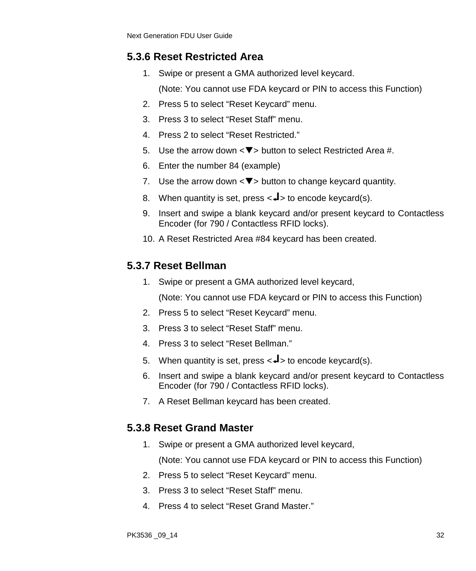### **5.3.6 Reset Restricted Area**

1. Swipe or present a GMA authorized level keycard.

(Note: You cannot use FDA keycard or PIN to access this Function)

- 2. Press 5 to select "Reset Keycard" menu.
- 3. Press 3 to select "Reset Staff" menu.
- 4. Press 2 to select "Reset Restricted."
- 5. Use the arrow down  $\langle \nabla \rangle$  button to select Restricted Area #.
- 6. Enter the number 84 (example)
- 7. Use the arrow down  $\langle \nabla \rangle$  button to change keycard quantity.
- 8. When quantity is set, press  $\langle -1 \rangle$  to encode keycard(s).
- 9. Insert and swipe a blank keycard and/or present keycard to Contactless Encoder (for 790 / Contactless RFID locks).
- 10. A Reset Restricted Area #84 keycard has been created.

# **5.3.7 Reset Bellman**

1. Swipe or present a GMA authorized level keycard,

(Note: You cannot use FDA keycard or PIN to access this Function)

- 2. Press 5 to select "Reset Keycard" menu.
- 3. Press 3 to select "Reset Staff" menu.
- 4. Press 3 to select "Reset Bellman."
- 5. When quantity is set, press  $\langle \downarrow \rangle$  to encode keycard(s).
- 6. Insert and swipe a blank keycard and/or present keycard to Contactless Encoder (for 790 / Contactless RFID locks).
- 7. A Reset Bellman keycard has been created.

# **5.3.8 Reset Grand Master**

1. Swipe or present a GMA authorized level keycard,

- 2. Press 5 to select "Reset Keycard" menu.
- 3. Press 3 to select "Reset Staff" menu.
- 4. Press 4 to select "Reset Grand Master."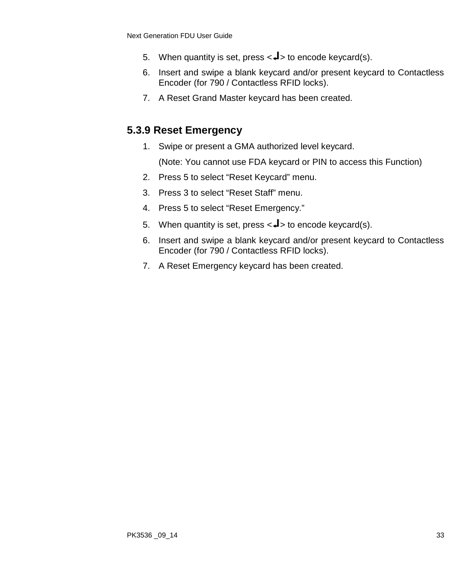- 5. When quantity is set, press  $\lt \downarrow$  to encode keycard(s).
- 6. Insert and swipe a blank keycard and/or present keycard to Contactless Encoder (for 790 / Contactless RFID locks).
- 7. A Reset Grand Master keycard has been created.

# **5.3.9 Reset Emergency**

1. Swipe or present a GMA authorized level keycard.

- 2. Press 5 to select "Reset Keycard" menu.
- 3. Press 3 to select "Reset Staff" menu.
- 4. Press 5 to select "Reset Emergency."
- 5. When quantity is set, press  $\langle -\mathbf{I} \rangle$  to encode keycard(s).
- 6. Insert and swipe a blank keycard and/or present keycard to Contactless Encoder (for 790 / Contactless RFID locks).
- 7. A Reset Emergency keycard has been created.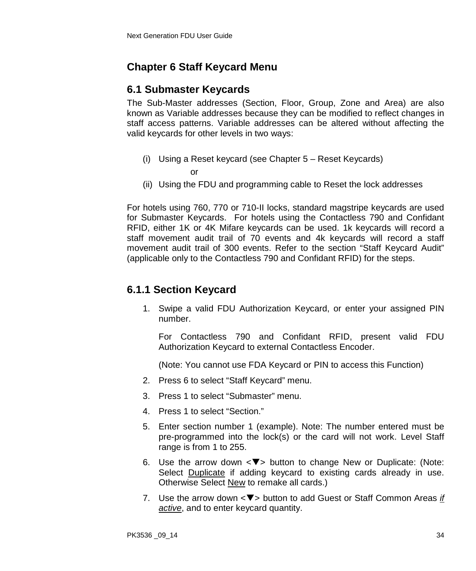# **Chapter 6 Staff Keycard Menu**

# **6.1 Submaster Keycards**

The Sub-Master addresses (Section, Floor, Group, Zone and Area) are also known as Variable addresses because they can be modified to reflect changes in staff access patterns. Variable addresses can be altered without affecting the valid keycards for other levels in two ways:

(i) Using a Reset keycard (see Chapter 5 – Reset Keycards)

or

(ii) Using the FDU and programming cable to Reset the lock addresses

For hotels using 760, 770 or 710-II locks, standard magstripe keycards are used for Submaster Keycards. For hotels using the Contactless 790 and Confidant RFID, either 1K or 4K Mifare keycards can be used. 1k keycards will record a staff movement audit trail of 70 events and 4k keycards will record a staff movement audit trail of 300 events. Refer to the section "Staff Keycard Audit" (applicable only to the Contactless 790 and Confidant RFID) for the steps.

# **6.1.1 Section Keycard**

1. Swipe a valid FDU Authorization Keycard, or enter your assigned PIN number.

For Contactless 790 and Confidant RFID, present valid FDU Authorization Keycard to external Contactless Encoder.

- 2. Press 6 to select "Staff Keycard" menu.
- 3. Press 1 to select "Submaster" menu.
- 4. Press 1 to select "Section."
- 5. Enter section number 1 (example). Note: The number entered must be pre-programmed into the lock(s) or the card will not work. Level Staff range is from 1 to 255.
- 6. Use the arrow down  $\langle \nabla \rangle$  button to change New or Duplicate: (Note: Select Duplicate if adding keycard to existing cards already in use. Otherwise Select New to remake all cards.)
- 7. Use the arrow down < $\nabla$ > button to add Guest or Staff Common Areas *if active*, and to enter keycard quantity.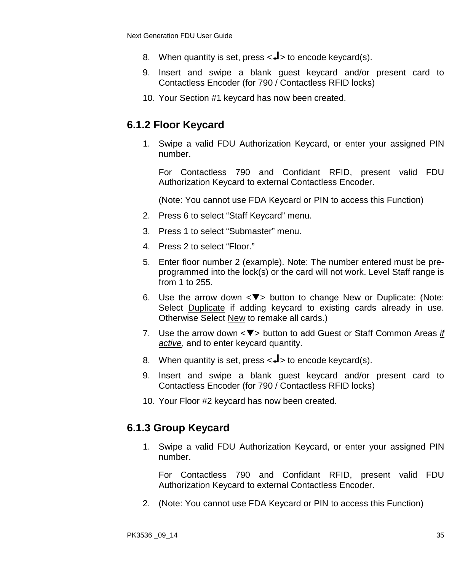- 8. When quantity is set, press  $\langle \downarrow \rangle$  to encode keycard(s).
- 9. Insert and swipe a blank guest keycard and/or present card to Contactless Encoder (for 790 / Contactless RFID locks)
- 10. Your Section #1 keycard has now been created.

# **6.1.2 Floor Keycard**

1. Swipe a valid FDU Authorization Keycard, or enter your assigned PIN number.

For Contactless 790 and Confidant RFID, present valid FDU Authorization Keycard to external Contactless Encoder.

(Note: You cannot use FDA Keycard or PIN to access this Function)

- 2. Press 6 to select "Staff Keycard" menu.
- 3. Press 1 to select "Submaster" menu.
- 4. Press 2 to select "Floor."
- 5. Enter floor number 2 (example). Note: The number entered must be preprogrammed into the lock(s) or the card will not work. Level Staff range is from 1 to 255.
- 6. Use the arrow down  $\langle \nabla \rangle$  button to change New or Duplicate: (Note: Select Duplicate if adding keycard to existing cards already in use. Otherwise Select New to remake all cards.)
- 7. Use the arrow down <**V**> button to add Guest or Staff Common Areas *if active*, and to enter keycard quantity.
- 8. When quantity is set, press  $\langle -1 \rangle$  to encode keycard(s).
- 9. Insert and swipe a blank guest keycard and/or present card to Contactless Encoder (for 790 / Contactless RFID locks)
- 10. Your Floor #2 keycard has now been created.

#### **6.1.3 Group Keycard**

1. Swipe a valid FDU Authorization Keycard, or enter your assigned PIN number.

For Contactless 790 and Confidant RFID, present valid FDU Authorization Keycard to external Contactless Encoder.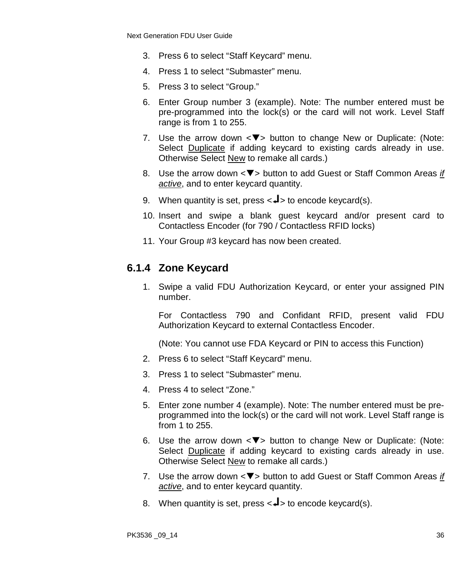- 3. Press 6 to select "Staff Keycard" menu.
- 4. Press 1 to select "Submaster" menu.
- 5. Press 3 to select "Group."
- 6. Enter Group number 3 (example). Note: The number entered must be pre-programmed into the lock(s) or the card will not work. Level Staff range is from 1 to 255.
- 7. Use the arrow down  $\langle \nabla \rangle$  button to change New or Duplicate: (Note: Select Duplicate if adding keycard to existing cards already in use. Otherwise Select New to remake all cards.)
- 8. Use the arrow down <▼> button to add Guest or Staff Common Areas *if active*, and to enter keycard quantity.
- 9. When quantity is set, press  $\langle -1 \rangle$  to encode keycard(s).
- 10. Insert and swipe a blank guest keycard and/or present card to Contactless Encoder (for 790 / Contactless RFID locks)
- 11. Your Group #3 keycard has now been created.

### **6.1.4 Zone Keycard**

1. Swipe a valid FDU Authorization Keycard, or enter your assigned PIN number.

For Contactless 790 and Confidant RFID, present valid FDU Authorization Keycard to external Contactless Encoder.

- 2. Press 6 to select "Staff Keycard" menu.
- 3. Press 1 to select "Submaster" menu.
- 4. Press 4 to select "Zone."
- 5. Enter zone number 4 (example). Note: The number entered must be preprogrammed into the lock(s) or the card will not work. Level Staff range is from 1 to 255.
- 6. Use the arrow down  $\leq$  button to change New or Duplicate: (Note: Select Duplicate if adding keycard to existing cards already in use. Otherwise Select New to remake all cards.)
- 7. Use the arrow down <▼> button to add Guest or Staff Common Areas *if active*, and to enter keycard quantity.
- 8. When quantity is set, press  $\langle \downarrow \rangle$  to encode keycard(s).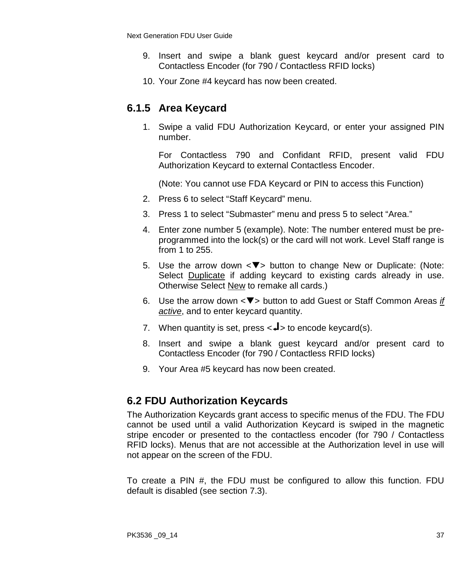- 9. Insert and swipe a blank guest keycard and/or present card to Contactless Encoder (for 790 / Contactless RFID locks)
- 10. Your Zone #4 keycard has now been created.

## **6.1.5 Area Keycard**

1. Swipe a valid FDU Authorization Keycard, or enter your assigned PIN number.

For Contactless 790 and Confidant RFID, present valid FDU Authorization Keycard to external Contactless Encoder.

(Note: You cannot use FDA Keycard or PIN to access this Function)

- 2. Press 6 to select "Staff Keycard" menu.
- 3. Press 1 to select "Submaster" menu and press 5 to select "Area."
- 4. Enter zone number 5 (example). Note: The number entered must be preprogrammed into the lock(s) or the card will not work. Level Staff range is from 1 to 255.
- 5. Use the arrow down  $\langle \nabla \rangle$  button to change New or Duplicate: (Note: Select Duplicate if adding keycard to existing cards already in use. Otherwise Select New to remake all cards.)
- 6. Use the arrow down <**V**> button to add Guest or Staff Common Areas *if active*, and to enter keycard quantity.
- 7. When quantity is set, press  $\langle -1 \rangle$  to encode keycard(s).
- 8. Insert and swipe a blank guest keycard and/or present card to Contactless Encoder (for 790 / Contactless RFID locks)
- 9. Your Area #5 keycard has now been created.

### **6.2 FDU Authorization Keycards**

The Authorization Keycards grant access to specific menus of the FDU. The FDU cannot be used until a valid Authorization Keycard is swiped in the magnetic stripe encoder or presented to the contactless encoder (for 790 / Contactless RFID locks). Menus that are not accessible at the Authorization level in use will not appear on the screen of the FDU.

To create a PIN #, the FDU must be configured to allow this function. FDU default is disabled (see section 7.3).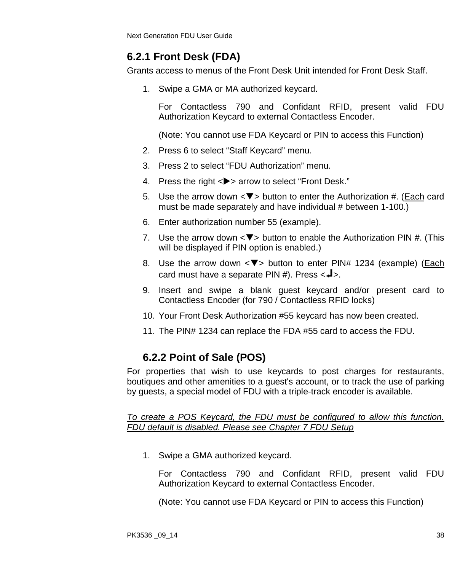# **6.2.1 Front Desk (FDA)**

Grants access to menus of the Front Desk Unit intended for Front Desk Staff.

1. Swipe a GMA or MA authorized keycard.

For Contactless 790 and Confidant RFID, present valid FDU Authorization Keycard to external Contactless Encoder.

(Note: You cannot use FDA Keycard or PIN to access this Function)

- 2. Press 6 to select "Staff Keycard" menu.
- 3. Press 2 to select "FDU Authorization" menu.
- 4. Press the right <**>>** arrow to select "Front Desk."
- 5. Use the arrow down  $\langle \nabla \rangle$  button to enter the Authorization #. (Each card must be made separately and have individual # between 1-100.)
- 6. Enter authorization number 55 (example).
- 7. Use the arrow down  $\langle \nabla \rangle$  button to enable the Authorization PIN #. (This will be displayed if PIN option is enabled.)
- 8. Use the arrow down  $\leq$  > button to enter PIN# 1234 (example) (Each card must have a separate PIN #). Press  $\leftarrow \rightarrow \leftarrow$ .
- 9. Insert and swipe a blank guest keycard and/or present card to Contactless Encoder (for 790 / Contactless RFID locks)
- 10. Your Front Desk Authorization #55 keycard has now been created.
- 11. The PIN# 1234 can replace the FDA #55 card to access the FDU.

## **6.2.2 Point of Sale (POS)**

For properties that wish to use keycards to post charges for restaurants, boutiques and other amenities to a guest's account, or to track the use of parking by guests, a special model of FDU with a triple-track encoder is available.

*To create a POS Keycard, the FDU must be configured to allow this function. FDU default is disabled. Please see Chapter 7 FDU Setup*

1. Swipe a GMA authorized keycard.

For Contactless 790 and Confidant RFID, present valid FDU Authorization Keycard to external Contactless Encoder.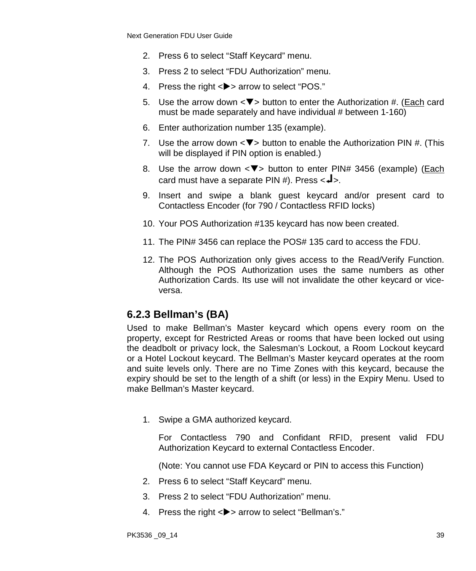- 2. Press 6 to select "Staff Keycard" menu.
- 3. Press 2 to select "FDU Authorization" menu.
- 4. Press the right <**>>** arrow to select "POS."
- 5. Use the arrow down  $\langle \nabla \rangle$  button to enter the Authorization #. (Each card must be made separately and have individual # between 1-160)
- 6. Enter authorization number 135 (example).
- 7. Use the arrow down  $\langle \nabla \rangle$  button to enable the Authorization PIN #. (This will be displayed if PIN option is enabled.)
- 8. Use the arrow down  $\langle \nabla \rangle$  button to enter PIN# 3456 (example) (Each card must have a separate PIN #). Press  $\leftarrow$  -.
- 9. Insert and swipe a blank guest keycard and/or present card to Contactless Encoder (for 790 / Contactless RFID locks)
- 10. Your POS Authorization #135 keycard has now been created.
- 11. The PIN# 3456 can replace the POS# 135 card to access the FDU.
- 12. The POS Authorization only gives access to the Read/Verify Function. Although the POS Authorization uses the same numbers as other Authorization Cards. Its use will not invalidate the other keycard or viceversa.

### **6.2.3 Bellman's (BA)**

Used to make Bellman's Master keycard which opens every room on the property, except for Restricted Areas or rooms that have been locked out using the deadbolt or privacy lock, the Salesman's Lockout, a Room Lockout keycard or a Hotel Lockout keycard. The Bellman's Master keycard operates at the room and suite levels only. There are no Time Zones with this keycard, because the expiry should be set to the length of a shift (or less) in the Expiry Menu. Used to make Bellman's Master keycard.

1. Swipe a GMA authorized keycard.

For Contactless 790 and Confidant RFID, present valid FDU Authorization Keycard to external Contactless Encoder.

- 2. Press 6 to select "Staff Keycard" menu.
- 3. Press 2 to select "FDU Authorization" menu.
- 4. Press the right <**>** arrow to select "Bellman's."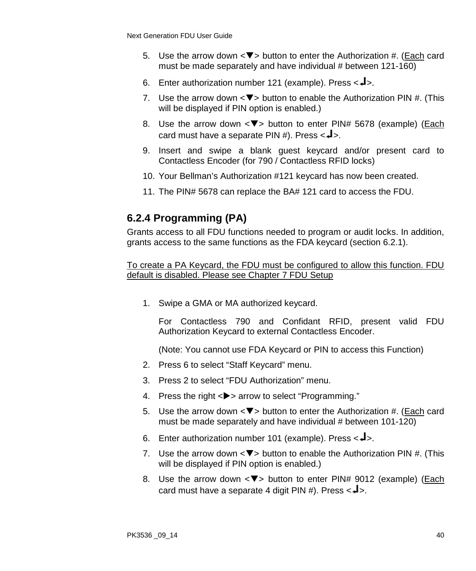- 5. Use the arrow down  $\langle \nabla \rangle$  button to enter the Authorization #. (Each card must be made separately and have individual # between 121-160)
- 6. Enter authorization number 121 (example). Press  $\langle -\frac{1}{2} \rangle$ .
- 7. Use the arrow down  $\langle \nabla \rangle$  button to enable the Authorization PIN #. (This will be displayed if PIN option is enabled.)
- 8. Use the arrow down  $\langle \nabla \rangle$  button to enter PIN# 5678 (example) (*Each* card must have a separate PIN #). Press  $\leftarrow \blacktriangle$ .
- 9. Insert and swipe a blank guest keycard and/or present card to Contactless Encoder (for 790 / Contactless RFID locks)
- 10. Your Bellman's Authorization #121 keycard has now been created.
- 11. The PIN# 5678 can replace the BA# 121 card to access the FDU.

## **6.2.4 Programming (PA)**

Grants access to all FDU functions needed to program or audit locks. In addition, grants access to the same functions as the FDA keycard (section 6.2.1).

To create a PA Keycard, the FDU must be configured to allow this function. FDU default is disabled. Please see Chapter 7 FDU Setup

1. Swipe a GMA or MA authorized keycard.

For Contactless 790 and Confidant RFID, present valid FDU Authorization Keycard to external Contactless Encoder.

- 2. Press 6 to select "Staff Keycard" menu.
- 3. Press 2 to select "FDU Authorization" menu.
- 4. Press the right <**>>** arrow to select "Programming."
- 5. Use the arrow down  $\langle \nabla \rangle$  button to enter the Authorization #. (Each card must be made separately and have individual # between 101-120)
- 6. Enter authorization number 101 (example). Press  $\langle -1 \rangle$ .
- 7. Use the arrow down  $\leq \blacktriangledown$  button to enable the Authorization PIN #. (This will be displayed if PIN option is enabled.)
- 8. Use the arrow down  $\leq$  > button to enter PIN# 9012 (example) (Each card must have a separate 4 digit PIN #). Press  $\langle -\rangle$ .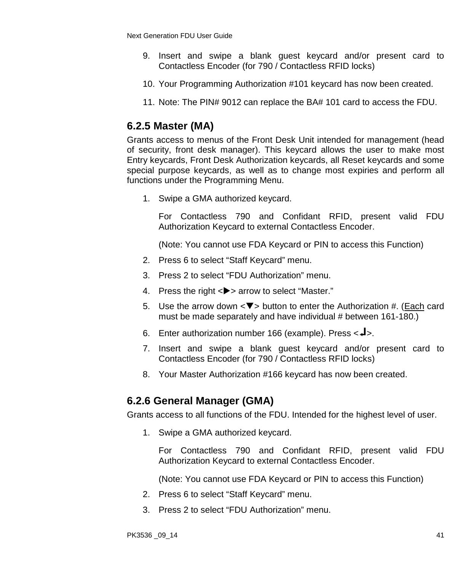- 9. Insert and swipe a blank guest keycard and/or present card to Contactless Encoder (for 790 / Contactless RFID locks)
- 10. Your Programming Authorization #101 keycard has now been created.
- 11. Note: The PIN# 9012 can replace the BA# 101 card to access the FDU.

## **6.2.5 Master (MA)**

Grants access to menus of the Front Desk Unit intended for management (head of security, front desk manager). This keycard allows the user to make most Entry keycards, Front Desk Authorization keycards, all Reset keycards and some special purpose keycards, as well as to change most expiries and perform all functions under the Programming Menu.

1. Swipe a GMA authorized keycard.

For Contactless 790 and Confidant RFID, present valid FDU Authorization Keycard to external Contactless Encoder.

(Note: You cannot use FDA Keycard or PIN to access this Function)

- 2. Press 6 to select "Staff Keycard" menu.
- 3. Press 2 to select "FDU Authorization" menu.
- 4. Press the right <**>>** arrow to select "Master."
- 5. Use the arrow down  $\langle \nabla \rangle$  button to enter the Authorization #. (Each card must be made separately and have individual # between 161-180.)
- 6. Enter authorization number 166 (example). Press  $\langle -\frac{1}{2} \rangle$ .
- 7. Insert and swipe a blank guest keycard and/or present card to Contactless Encoder (for 790 / Contactless RFID locks)
- 8. Your Master Authorization #166 keycard has now been created.

## **6.2.6 General Manager (GMA)**

Grants access to all functions of the FDU. Intended for the highest level of user.

1. Swipe a GMA authorized keycard.

For Contactless 790 and Confidant RFID, present valid FDU Authorization Keycard to external Contactless Encoder.

- 2. Press 6 to select "Staff Keycard" menu.
- 3. Press 2 to select "FDU Authorization" menu.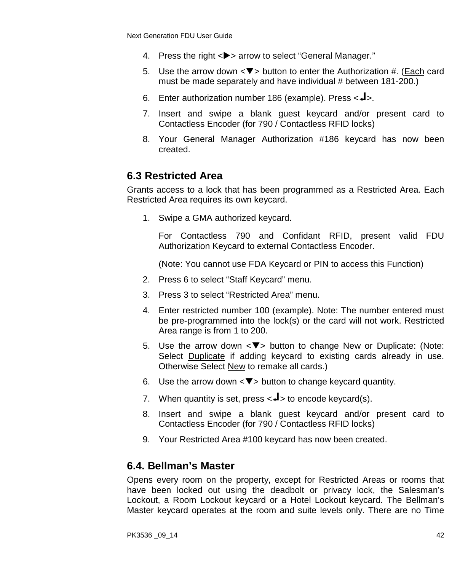- 4. Press the right <**>>** arrow to select "General Manager."
- 5. Use the arrow down  $\langle \nabla \rangle$  button to enter the Authorization #. (Each card must be made separately and have individual # between 181-200.)
- 6. Enter authorization number 186 (example). Press  $\langle -1 \rangle$ .
- 7. Insert and swipe a blank guest keycard and/or present card to Contactless Encoder (for 790 / Contactless RFID locks)
- 8. Your General Manager Authorization #186 keycard has now been created.

### **6.3 Restricted Area**

Grants access to a lock that has been programmed as a Restricted Area. Each Restricted Area requires its own keycard.

1. Swipe a GMA authorized keycard.

For Contactless 790 and Confidant RFID, present valid FDU Authorization Keycard to external Contactless Encoder.

(Note: You cannot use FDA Keycard or PIN to access this Function)

- 2. Press 6 to select "Staff Keycard" menu.
- 3. Press 3 to select "Restricted Area" menu.
- 4. Enter restricted number 100 (example). Note: The number entered must be pre-programmed into the lock(s) or the card will not work. Restricted Area range is from 1 to 200.
- 5. Use the arrow down  $\langle \nabla \rangle$  button to change New or Duplicate: (Note: Select Duplicate if adding keycard to existing cards already in use. Otherwise Select New to remake all cards.)
- 6. Use the arrow down  $\langle \nabla \rangle$  button to change keycard quantity.
- 7. When quantity is set, press  $\lt \downarrow$  to encode keycard(s).
- 8. Insert and swipe a blank guest keycard and/or present card to Contactless Encoder (for 790 / Contactless RFID locks)
- 9. Your Restricted Area #100 keycard has now been created.

#### **6.4. Bellman's Master**

Opens every room on the property, except for Restricted Areas or rooms that have been locked out using the deadbolt or privacy lock, the Salesman's Lockout, a Room Lockout keycard or a Hotel Lockout keycard. The Bellman's Master keycard operates at the room and suite levels only. There are no Time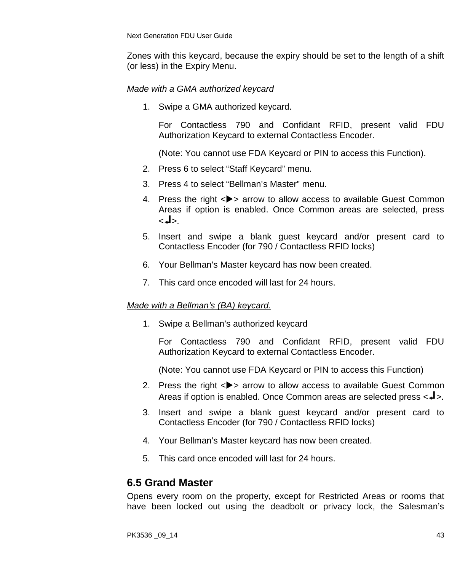Zones with this keycard, because the expiry should be set to the length of a shift (or less) in the Expiry Menu.

#### *Made with a GMA authorized keycard*

1. Swipe a GMA authorized keycard.

For Contactless 790 and Confidant RFID, present valid FDU Authorization Keycard to external Contactless Encoder.

(Note: You cannot use FDA Keycard or PIN to access this Function).

- 2. Press 6 to select "Staff Keycard" menu.
- 3. Press 4 to select "Bellman's Master" menu.
- 4. Press the right <**>>** arrow to allow access to available Guest Common Areas if option is enabled. Once Common areas are selected, press .<اله>
- 5. Insert and swipe a blank guest keycard and/or present card to Contactless Encoder (for 790 / Contactless RFID locks)
- 6. Your Bellman's Master keycard has now been created.
- 7. This card once encoded will last for 24 hours.

#### *Made with a Bellman's (BA) keycard.*

1. Swipe a Bellman's authorized keycard

For Contactless 790 and Confidant RFID, present valid FDU Authorization Keycard to external Contactless Encoder.

(Note: You cannot use FDA Keycard or PIN to access this Function)

- 2. Press the right  $\langle \bullet \rangle$  arrow to allow access to available Guest Common Areas if option is enabled. Once Common areas are selected press  $\leftarrow\rightarrow\cdot$ .
- 3. Insert and swipe a blank guest keycard and/or present card to Contactless Encoder (for 790 / Contactless RFID locks)
- 4. Your Bellman's Master keycard has now been created.
- 5. This card once encoded will last for 24 hours.

## **6.5 Grand Master**

Opens every room on the property, except for Restricted Areas or rooms that have been locked out using the deadbolt or privacy lock, the Salesman's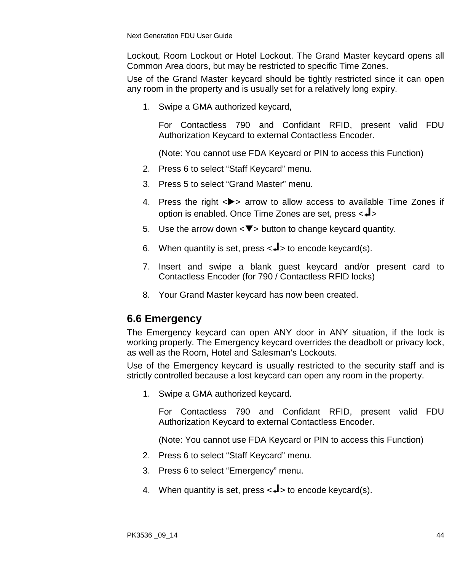Lockout, Room Lockout or Hotel Lockout. The Grand Master keycard opens all Common Area doors, but may be restricted to specific Time Zones.

Use of the Grand Master keycard should be tightly restricted since it can open any room in the property and is usually set for a relatively long expiry.

1. Swipe a GMA authorized keycard,

For Contactless 790 and Confidant RFID, present valid FDU Authorization Keycard to external Contactless Encoder.

(Note: You cannot use FDA Keycard or PIN to access this Function)

- 2. Press 6 to select "Staff Keycard" menu.
- 3. Press 5 to select "Grand Master" menu.
- 4. Press the right  $\langle \rangle$  arrow to allow access to available Time Zones if option is enabled. Once Time Zones are set, press < >
- 5. Use the arrow down  $\langle \nabla \rangle$  button to change keycard quantity.
- 6. When quantity is set, press  $\langle -1 \rangle$  to encode keycard(s).
- 7. Insert and swipe a blank guest keycard and/or present card to Contactless Encoder (for 790 / Contactless RFID locks)
- 8. Your Grand Master keycard has now been created.

## **6.6 Emergency**

The Emergency keycard can open ANY door in ANY situation, if the lock is working properly. The Emergency keycard overrides the deadbolt or privacy lock, as well as the Room, Hotel and Salesman's Lockouts.

Use of the Emergency keycard is usually restricted to the security staff and is strictly controlled because a lost keycard can open any room in the property.

1. Swipe a GMA authorized keycard.

For Contactless 790 and Confidant RFID, present valid FDU Authorization Keycard to external Contactless Encoder.

- 2. Press 6 to select "Staff Keycard" menu.
- 3. Press 6 to select "Emergency" menu.
- 4. When quantity is set, press  $\leftarrow$  to encode keycard(s).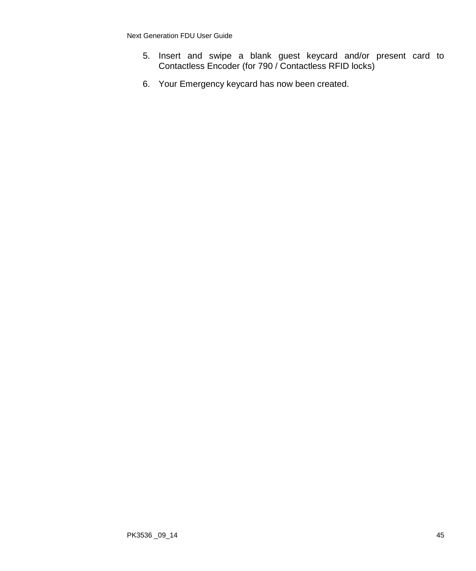- 5. Insert and swipe a blank guest keycard and/or present card to Contactless Encoder (for 790 / Contactless RFID locks)
- 6. Your Emergency keycard has now been created.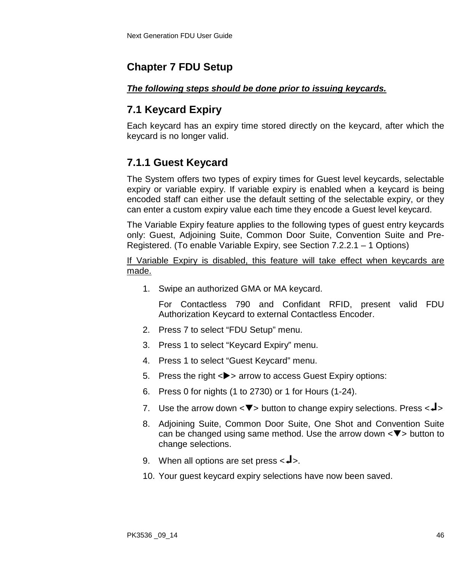## **Chapter 7 FDU Setup**

#### *The following steps should be done prior to issuing keycards.*

# **7.1 Keycard Expiry**

Each keycard has an expiry time stored directly on the keycard, after which the keycard is no longer valid.

## **7.1.1 Guest Keycard**

The System offers two types of expiry times for Guest level keycards, selectable expiry or variable expiry. If variable expiry is enabled when a keycard is being encoded staff can either use the default setting of the selectable expiry, or they can enter a custom expiry value each time they encode a Guest level keycard.

The Variable Expiry feature applies to the following types of guest entry keycards only: Guest, Adjoining Suite, Common Door Suite, Convention Suite and Pre-Registered. (To enable Variable Expiry, see Section 7.2.2.1 – 1 Options)

If Variable Expiry is disabled, this feature will take effect when keycards are made.

1. Swipe an authorized GMA or MA keycard.

- 2. Press 7 to select "FDU Setup" menu.
- 3. Press 1 to select "Keycard Expiry" menu.
- 4. Press 1 to select "Guest Keycard" menu.
- 5. Press the right  $\langle \rangle$  arrow to access Guest Expiry options:
- 6. Press 0 for nights (1 to 2730) or 1 for Hours (1-24).
- 7. Use the arrow down  $\langle \nabla \rangle$  button to change expiry selections. Press  $\langle \nabla \cdot \cdot \cdot \rangle$
- 8. Adjoining Suite, Common Door Suite, One Shot and Convention Suite can be changed using same method. Use the arrow down  $\langle \nabla \rangle$  button to change selections.
- 9. When all options are set press  $\leftarrow \blacktriangleright$ .
- 10. Your guest keycard expiry selections have now been saved.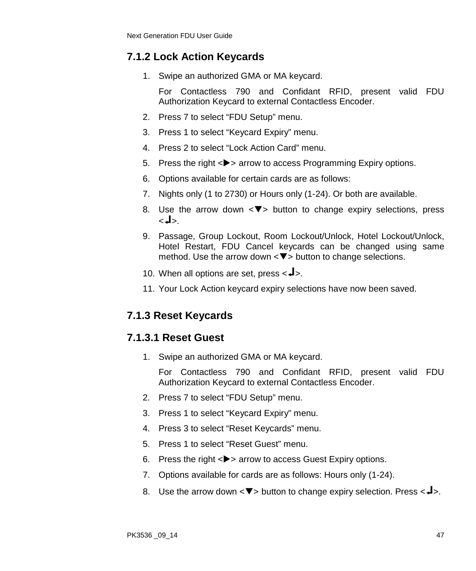## **7.1.2 Lock Action Keycards**

1. Swipe an authorized GMA or MA keycard.

For Contactless 790 and Confidant RFID, present valid FDU Authorization Keycard to external Contactless Encoder.

- 2. Press 7 to select "FDU Setup" menu.
- 3. Press 1 to select "Keycard Expiry" menu.
- 4. Press 2 to select "Lock Action Card" menu.
- 5. Press the right <**>>** arrow to access Programming Expiry options.
- 6. Options available for certain cards are as follows:
- 7. Nights only (1 to 2730) or Hours only (1-24). Or both are available.
- 8. Use the arrow down  $\leq$  button to change expiry selections, press  $<$ ما $\ge$
- 9. Passage, Group Lockout, Room Lockout/Unlock, Hotel Lockout/Unlock, Hotel Restart, FDU Cancel keycards can be changed using same method. Use the arrow down  $\langle \nabla \rangle$  button to change selections.
- 10. When all options are set, press  $\leftarrow \blacktriangle$ .
- 11. Your Lock Action keycard expiry selections have now been saved.

## **7.1.3 Reset Keycards**

### **7.1.3.1 Reset Guest**

1. Swipe an authorized GMA or MA keycard.

- 2. Press 7 to select "FDU Setup" menu.
- 3. Press 1 to select "Keycard Expiry" menu.
- 4. Press 3 to select "Reset Keycards" menu.
- 5. Press 1 to select "Reset Guest" menu.
- 6. Press the right  $\langle \rangle$  arrow to access Guest Expiry options.
- 7. Options available for cards are as follows: Hours only (1-24).
- 8. Use the arrow down  $\langle \nabla \rangle$  button to change expiry selection. Press  $\langle \nabla \cdot \cdot \cdot \rangle$ .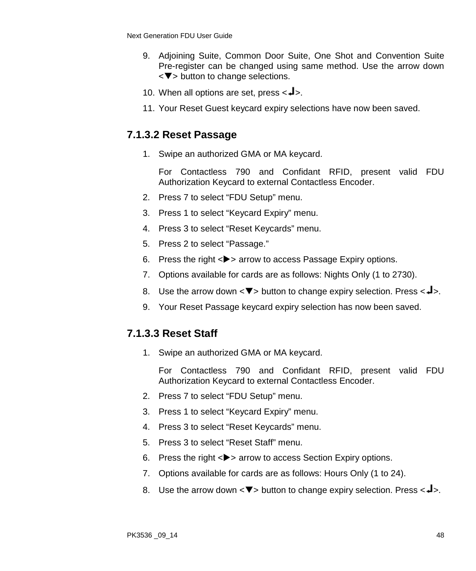- 9. Adjoining Suite, Common Door Suite, One Shot and Convention Suite Pre-register can be changed using same method. Use the arrow down  $\langle \nabla \rangle$  button to change selections.
- 10. When all options are set, press  $\langle -1 \rangle$ .
- 11. Your Reset Guest keycard expiry selections have now been saved.

### **7.1.3.2 Reset Passage**

1. Swipe an authorized GMA or MA keycard.

For Contactless 790 and Confidant RFID, present valid FDU Authorization Keycard to external Contactless Encoder.

- 2. Press 7 to select "FDU Setup" menu.
- 3. Press 1 to select "Keycard Expiry" menu.
- 4. Press 3 to select "Reset Keycards" menu.
- 5. Press 2 to select "Passage."
- 6. Press the right  $\langle \rangle$  arrow to access Passage Expiry options.
- 7. Options available for cards are as follows: Nights Only (1 to 2730).
- 8. Use the arrow down  $\langle \nabla \rangle$  button to change expiry selection. Press  $\langle \nabla \cdot \mathbf{I} \rangle$ .
- 9. Your Reset Passage keycard expiry selection has now been saved.

### **7.1.3.3 Reset Staff**

1. Swipe an authorized GMA or MA keycard.

- 2. Press 7 to select "FDU Setup" menu.
- 3. Press 1 to select "Keycard Expiry" menu.
- 4. Press 3 to select "Reset Keycards" menu.
- 5. Press 3 to select "Reset Staff" menu.
- 6. Press the right <**>>** arrow to access Section Expiry options.
- 7. Options available for cards are as follows: Hours Only (1 to 24).
- 8. Use the arrow down  $\langle \nabla \rangle$  button to change expiry selection. Press  $\langle \nabla \rangle$ .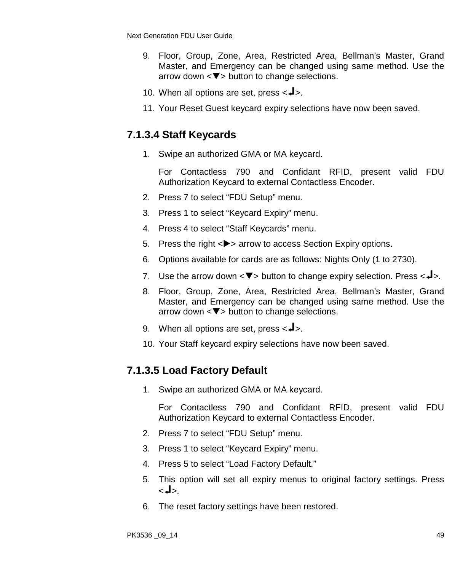- 9. Floor, Group, Zone, Area, Restricted Area, Bellman's Master, Grand Master, and Emergency can be changed using same method. Use the arrow down  $\langle \nabla \rangle$  button to change selections.
- 10. When all options are set, press  $\langle -1 \rangle$ .
- 11. Your Reset Guest keycard expiry selections have now been saved.

## **7.1.3.4 Staff Keycards**

1. Swipe an authorized GMA or MA keycard.

For Contactless 790 and Confidant RFID, present valid FDU Authorization Keycard to external Contactless Encoder.

- 2. Press 7 to select "FDU Setup" menu.
- 3. Press 1 to select "Keycard Expiry" menu.
- 4. Press 4 to select "Staff Keycards" menu.
- 5. Press the right  $\langle \rangle$  arrow to access Section Expiry options.
- 6. Options available for cards are as follows: Nights Only (1 to 2730).
- 7. Use the arrow down  $\langle \nabla \rangle$  button to change expiry selection. Press  $\langle \nabla \cdot \cdot \cdot \rangle$ .
- 8. Floor, Group, Zone, Area, Restricted Area, Bellman's Master, Grand Master, and Emergency can be changed using same method. Use the arrow down  $\langle \nabla \rangle$  button to change selections.
- 9. When all options are set, press  $\leftarrow \blacktriangle$ .
- 10. Your Staff keycard expiry selections have now been saved.

## **7.1.3.5 Load Factory Default**

1. Swipe an authorized GMA or MA keycard.

- 2. Press 7 to select "FDU Setup" menu.
- 3. Press 1 to select "Keycard Expiry" menu.
- 4. Press 5 to select "Load Factory Default."
- 5. This option will set all expiry menus to original factory settings. Press .<اله>
- 6. The reset factory settings have been restored.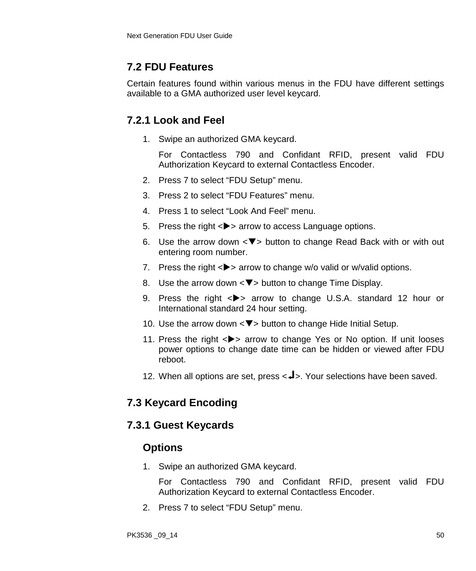## **7.2 FDU Features**

Certain features found within various menus in the FDU have different settings available to a GMA authorized user level keycard.

## **7.2.1 Look and Feel**

1. Swipe an authorized GMA keycard.

For Contactless 790 and Confidant RFID, present valid FDU Authorization Keycard to external Contactless Encoder.

- 2. Press 7 to select "FDU Setup" menu.
- 3. Press 2 to select "FDU Features" menu.
- 4. Press 1 to select "Look And Feel" menu.
- 5. Press the right <**>>** arrow to access Language options.
- 6. Use the arrow down  $\leq \blacktriangledown$  button to change Read Back with or with out entering room number.
- 7. Press the right  $\langle \rangle$  arrow to change w/o valid or w/valid options.
- 8. Use the arrow down  $\langle \nabla \rangle$  button to change Time Display.
- 9. Press the right  $\langle \rangle$  arrow to change U.S.A. standard 12 hour or International standard 24 hour setting.
- 10. Use the arrow down  $\langle \nabla \rangle$  button to change Hide Initial Setup.
- 11. Press the right  $\langle \rangle$  arrow to change Yes or No option. If unit looses power options to change date time can be hidden or viewed after FDU reboot.
- 12. When all options are set, press < $\blacktriangleleft$  >. Your selections have been saved.

## **7.3 Keycard Encoding**

### **7.3.1 Guest Keycards**

### **Options**

1. Swipe an authorized GMA keycard.

For Contactless 790 and Confidant RFID, present valid FDU Authorization Keycard to external Contactless Encoder.

2. Press 7 to select "FDU Setup" menu.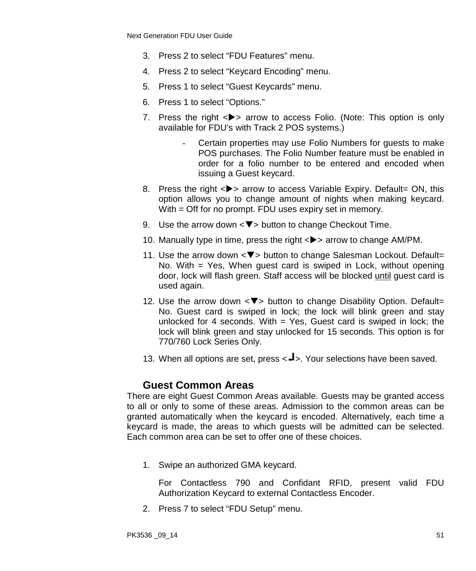- 3. Press 2 to select "FDU Features" menu.
- 4. Press 2 to select "Keycard Encoding" menu.
- 5. Press 1 to select "Guest Keycards" menu.
- 6. Press 1 to select "Options."
- 7. Press the right  $\langle \rangle$  arrow to access Folio. (Note: This option is only available for FDU's with Track 2 POS systems.)
	- Certain properties may use Folio Numbers for guests to make POS purchases. The Folio Number feature must be enabled in order for a folio number to be entered and encoded when issuing a Guest keycard.
- 8. Press the right <>> arrow to access Variable Expiry. Default= ON, this option allows you to change amount of nights when making keycard. With = Off for no prompt. FDU uses expiry set in memory.
- 9. Use the arrow down  $\langle \nabla \rangle$  button to change Checkout Time.
- 10. Manually type in time, press the right <**>>** arrow to change AM/PM.
- 11. Use the arrow down  $\langle \nabla \rangle$  button to change Salesman Lockout. Default= No. With = Yes, When guest card is swiped in Lock, without opening door, lock will flash green. Staff access will be blocked until guest card is used again.
- 12. Use the arrow down  $\langle \nabla \rangle$  button to change Disability Option. Default= No. Guest card is swiped in lock; the lock will blink green and stay unlocked for 4 seconds. With  $=$  Yes, Guest card is swiped in lock; the lock will blink green and stay unlocked for 15 seconds. This option is for 770/760 Lock Series Only.
- 13. When all options are set, press <<a>. Your selections have been saved.

#### **Guest Common Areas**

There are eight Guest Common Areas available. Guests may be granted access to all or only to some of these areas. Admission to the common areas can be granted automatically when the keycard is encoded. Alternatively, each time a keycard is made, the areas to which guests will be admitted can be selected. Each common area can be set to offer one of these choices.

1. Swipe an authorized GMA keycard.

For Contactless 790 and Confidant RFID, present valid FDU Authorization Keycard to external Contactless Encoder.

2. Press 7 to select "FDU Setup" menu.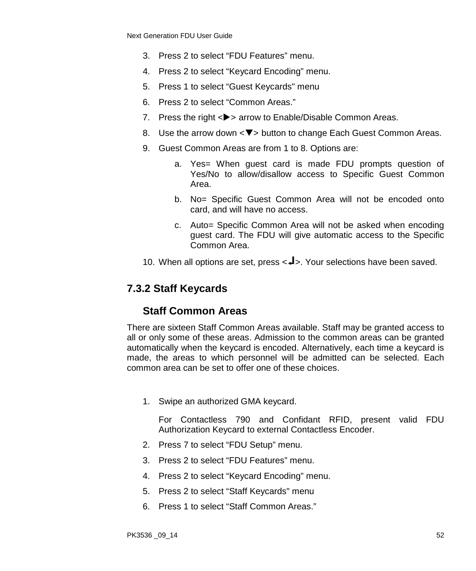- 3. Press 2 to select "FDU Features" menu.
- 4. Press 2 to select "Keycard Encoding" menu.
- 5. Press 1 to select "Guest Keycards" menu
- 6. Press 2 to select "Common Areas."
- 7. Press the right <**>>** arrow to Enable/Disable Common Areas.
- 8. Use the arrow down  $\langle \nabla \rangle$  button to change Each Guest Common Areas.
- 9. Guest Common Areas are from 1 to 8. Options are:
	- a. Yes= When guest card is made FDU prompts question of Yes/No to allow/disallow access to Specific Guest Common Area.
	- b. No= Specific Guest Common Area will not be encoded onto card, and will have no access.
	- c. Auto= Specific Common Area will not be asked when encoding guest card. The FDU will give automatic access to the Specific Common Area.
- 10. When all options are set, press < $\blacktriangleleft$  >. Your selections have been saved.

## **7.3.2 Staff Keycards**

### **Staff Common Areas**

There are sixteen Staff Common Areas available. Staff may be granted access to all or only some of these areas. Admission to the common areas can be granted automatically when the keycard is encoded. Alternatively, each time a keycard is made, the areas to which personnel will be admitted can be selected. Each common area can be set to offer one of these choices.

1. Swipe an authorized GMA keycard.

- 2. Press 7 to select "FDU Setup" menu.
- 3. Press 2 to select "FDU Features" menu.
- 4. Press 2 to select "Keycard Encoding" menu.
- 5. Press 2 to select "Staff Keycards" menu
- 6. Press 1 to select "Staff Common Areas."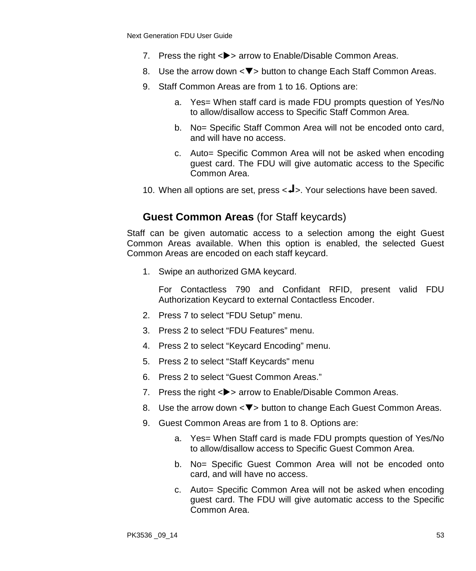- 7. Press the right <**>>** arrow to Enable/Disable Common Areas.
- 8. Use the arrow down  $\langle \nabla \rangle$  button to change Each Staff Common Areas.
- 9. Staff Common Areas are from 1 to 16. Options are:
	- a. Yes= When staff card is made FDU prompts question of Yes/No to allow/disallow access to Specific Staff Common Area.
	- b. No= Specific Staff Common Area will not be encoded onto card, and will have no access.
	- c. Auto= Specific Common Area will not be asked when encoding guest card. The FDU will give automatic access to the Specific Common Area.
- 10. When all options are set, press <<a>. Your selections have been saved.

## **Guest Common Areas** (for Staff keycards)

Staff can be given automatic access to a selection among the eight Guest Common Areas available. When this option is enabled, the selected Guest Common Areas are encoded on each staff keycard.

1. Swipe an authorized GMA keycard.

- 2. Press 7 to select "FDU Setup" menu.
- 3. Press 2 to select "FDU Features" menu.
- 4. Press 2 to select "Keycard Encoding" menu.
- 5. Press 2 to select "Staff Keycards" menu
- 6. Press 2 to select "Guest Common Areas."
- 7. Press the right <**>>** arrow to Enable/Disable Common Areas.
- 8. Use the arrow down  $\leq$   $\blacktriangledown$  button to change Each Guest Common Areas.
- 9. Guest Common Areas are from 1 to 8. Options are:
	- a. Yes= When Staff card is made FDU prompts question of Yes/No to allow/disallow access to Specific Guest Common Area.
	- b. No= Specific Guest Common Area will not be encoded onto card, and will have no access.
	- c. Auto= Specific Common Area will not be asked when encoding guest card. The FDU will give automatic access to the Specific Common Area.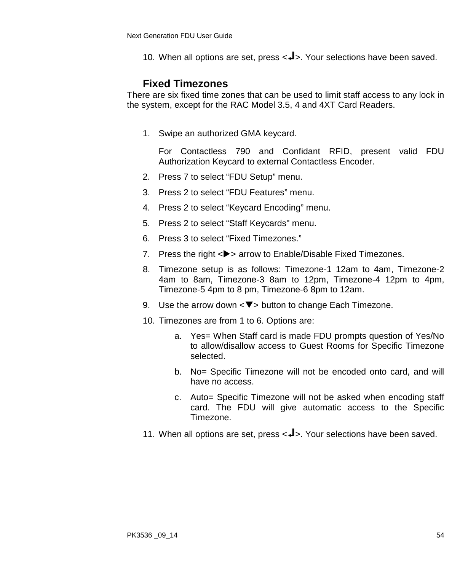10. When all options are set, press <<>>>>>>>>. Your selections have been saved.

#### **Fixed Timezones**

There are six fixed time zones that can be used to limit staff access to any lock in the system, except for the RAC Model 3.5, 4 and 4XT Card Readers.

1. Swipe an authorized GMA keycard.

- 2. Press 7 to select "FDU Setup" menu.
- 3. Press 2 to select "FDU Features" menu.
- 4. Press 2 to select "Keycard Encoding" menu.
- 5. Press 2 to select "Staff Keycards" menu.
- 6. Press 3 to select "Fixed Timezones."
- 7. Press the right <**>>** arrow to Enable/Disable Fixed Timezones.
- 8. Timezone setup is as follows: Timezone-1 12am to 4am, Timezone-2 4am to 8am, Timezone-3 8am to 12pm, Timezone-4 12pm to 4pm, Timezone-5 4pm to 8 pm, Timezone-6 8pm to 12am.
- 9. Use the arrow down  $\langle \nabla \rangle$  button to change Each Timezone.
- 10. Timezones are from 1 to 6. Options are:
	- a. Yes= When Staff card is made FDU prompts question of Yes/No to allow/disallow access to Guest Rooms for Specific Timezone selected.
	- b. No= Specific Timezone will not be encoded onto card, and will have no access.
	- c. Auto= Specific Timezone will not be asked when encoding staff card. The FDU will give automatic access to the Specific Timezone.
- 11. When all options are set, press <<>>>>>>>. Your selections have been saved.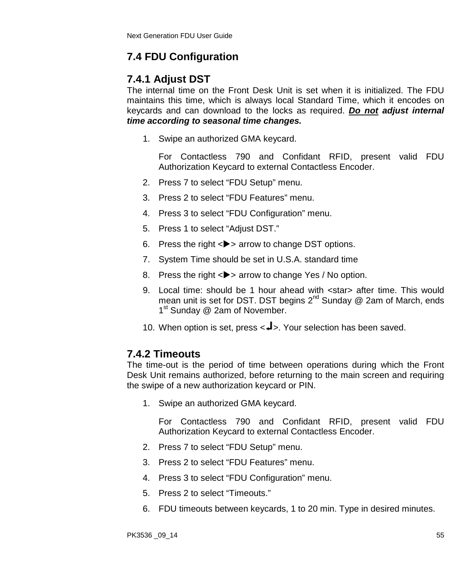## **7.4 FDU Configuration**

## **7.4.1 Adjust DST**

The internal time on the Front Desk Unit is set when it is initialized. The FDU maintains this time, which is always local Standard Time, which it encodes on keycards and can download to the locks as required. *Do not adjust internal time according to seasonal time changes.*

1. Swipe an authorized GMA keycard.

For Contactless 790 and Confidant RFID, present valid FDU Authorization Keycard to external Contactless Encoder.

- 2. Press 7 to select "FDU Setup" menu.
- 3. Press 2 to select "FDU Features" menu.
- 4. Press 3 to select "FDU Configuration" menu.
- 5. Press 1 to select "Adjust DST."
- 6. Press the right  $\langle \rangle$  arrow to change DST options.
- 7. System Time should be set in U.S.A. standard time
- 8. Press the right <**>>** arrow to change Yes / No option.
- 9. Local time: should be 1 hour ahead with <star> after time. This would mean unit is set for DST. DST begins  $2^{nd}$  Sunday @ 2am of March, ends 1<sup>st</sup> Sunday @ 2am of November.
- 10. When option is set, press  $\langle -\vert \cdot \rangle$ . Your selection has been saved.

### **7.4.2 Timeouts**

The time-out is the period of time between operations during which the Front Desk Unit remains authorized, before returning to the main screen and requiring the swipe of a new authorization keycard or PIN.

1. Swipe an authorized GMA keycard.

- 2. Press 7 to select "FDU Setup" menu.
- 3. Press 2 to select "FDU Features" menu.
- 4. Press 3 to select "FDU Configuration" menu.
- 5. Press 2 to select "Timeouts."
- 6. FDU timeouts between keycards, 1 to 20 min. Type in desired minutes.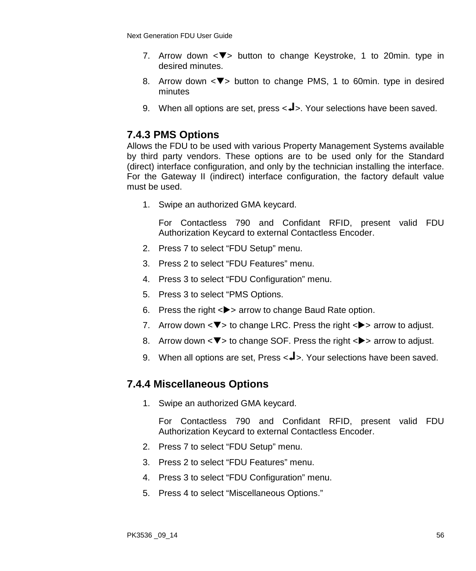- 7. Arrow down  $\leq \blacktriangledown$  button to change Keystroke, 1 to 20min. type in desired minutes.
- 8. Arrow down  $\leq$  button to change PMS, 1 to 60min. type in desired minutes
- 9. When all options are set, press  $\leftarrow$  >. Your selections have been saved.

## **7.4.3 PMS Options**

Allows the FDU to be used with various Property Management Systems available by third party vendors. These options are to be used only for the Standard (direct) interface configuration, and only by the technician installing the interface. For the Gateway II (indirect) interface configuration, the factory default value must be used.

1. Swipe an authorized GMA keycard.

For Contactless 790 and Confidant RFID, present valid FDU Authorization Keycard to external Contactless Encoder.

- 2. Press 7 to select "FDU Setup" menu.
- 3. Press 2 to select "FDU Features" menu.
- 4. Press 3 to select "FDU Configuration" menu.
- 5. Press 3 to select "PMS Options.
- 6. Press the right  $\langle \rangle$  arrow to change Baud Rate option.
- 7. Arrow down  $\langle \nabla \rangle$  to change LRC. Press the right  $\langle \rangle$  arrow to adjust.
- 8. Arrow down  $\langle \nabla \rangle$  to change SOF. Press the right  $\langle \rangle$  arrow to adjust.
- 9. When all options are set, Press  $\leftarrow$  >. Your selections have been saved.

### **7.4.4 Miscellaneous Options**

1. Swipe an authorized GMA keycard.

- 2. Press 7 to select "FDU Setup" menu.
- 3. Press 2 to select "FDU Features" menu.
- 4. Press 3 to select "FDU Configuration" menu.
- 5. Press 4 to select "Miscellaneous Options."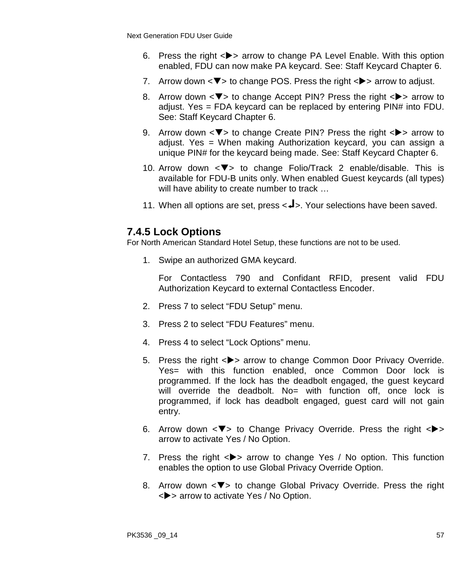- 6. Press the right  $\langle \bullet \rangle$  arrow to change PA Level Enable. With this option enabled, FDU can now make PA keycard. See: Staff Keycard Chapter 6.
- 7. Arrow down  $\langle \mathbf{V} \rangle$  to change POS. Press the right  $\langle \mathbf{V} \rangle$  arrow to adjust.
- 8. Arrow down  $\langle \nabla \rangle$  to change Accept PIN? Press the right  $\langle \rangle$  arrow to adjust. Yes = FDA keycard can be replaced by entering PIN# into FDU. See: Staff Keycard Chapter 6.
- 9. Arrow down  $\langle \nabla \rangle$  to change Create PIN? Press the right  $\langle \rangle$  arrow to adjust. Yes = When making Authorization keycard, you can assign a unique PIN# for the keycard being made. See: Staff Keycard Chapter 6.
- 10. Arrow down  $\leq$  to change Folio/Track 2 enable/disable. This is available for FDU-B units only. When enabled Guest keycards (all types) will have ability to create number to track ...
- 11. When all options are set, press <<a>>>>L>. Your selections have been saved.

## **7.4.5 Lock Options**

For North American Standard Hotel Setup, these functions are not to be used.

1. Swipe an authorized GMA keycard.

- 2. Press 7 to select "FDU Setup" menu.
- 3. Press 2 to select "FDU Features" menu.
- 4. Press 4 to select "Lock Options" menu.
- 5. Press the right <**>>** arrow to change Common Door Privacy Override. Yes= with this function enabled, once Common Door lock is programmed. If the lock has the deadbolt engaged, the guest keycard will override the deadbolt. No= with function off, once lock is programmed, if lock has deadbolt engaged, guest card will not gain entry.
- 6. Arrow down  $\langle \nabla \rangle$  to Change Privacy Override. Press the right  $\langle \rangle$ arrow to activate Yes / No Option.
- 7. Press the right  $\langle \rangle$  arrow to change Yes / No option. This function enables the option to use Global Privacy Override Option.
- 8. Arrow down  $\leq$   $\blacktriangledown$  to change Global Privacy Override. Press the right <> arrow to activate Yes / No Option.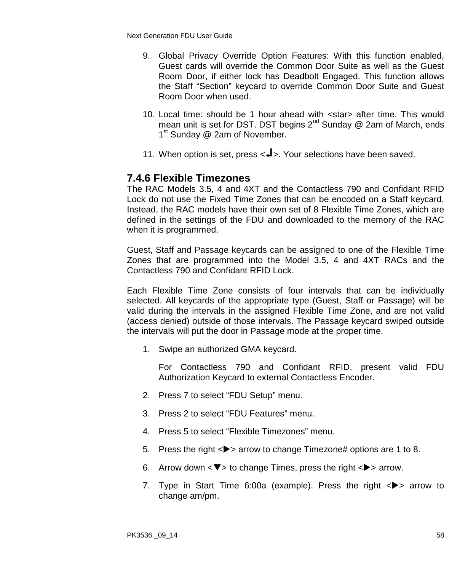- 9. Global Privacy Override Option Features: With this function enabled, Guest cards will override the Common Door Suite as well as the Guest Room Door, if either lock has Deadbolt Engaged. This function allows the Staff "Section" keycard to override Common Door Suite and Guest Room Door when used.
- 10. Local time: should be 1 hour ahead with <star> after time. This would mean unit is set for DST. DST begins  $2^{nd}$  Sunday @ 2am of March, ends 1<sup>st</sup> Sunday @ 2am of November.
- 11. When option is set, press  $\langle -\rangle$ . Your selections have been saved.

#### **7.4.6 Flexible Timezones**

The RAC Models 3.5, 4 and 4XT and the Contactless 790 and Confidant RFID Lock do not use the Fixed Time Zones that can be encoded on a Staff keycard. Instead, the RAC models have their own set of 8 Flexible Time Zones, which are defined in the settings of the FDU and downloaded to the memory of the RAC when it is programmed.

Guest, Staff and Passage keycards can be assigned to one of the Flexible Time Zones that are programmed into the Model 3.5, 4 and 4XT RACs and the Contactless 790 and Confidant RFID Lock.

Each Flexible Time Zone consists of four intervals that can be individually selected. All keycards of the appropriate type (Guest, Staff or Passage) will be valid during the intervals in the assigned Flexible Time Zone, and are not valid (access denied) outside of those intervals. The Passage keycard swiped outside the intervals will put the door in Passage mode at the proper time.

1. Swipe an authorized GMA keycard.

- 2. Press 7 to select "FDU Setup" menu.
- 3. Press 2 to select "FDU Features" menu.
- 4. Press 5 to select "Flexible Timezones" menu.
- 5. Press the right  $\langle \rangle$  arrow to change Timezone# options are 1 to 8.
- 6. Arrow down  $\langle \nabla \rangle$  to change Times, press the right  $\langle \rangle$  arrow.
- 7. Type in Start Time 6:00a (example). Press the right  $\langle \rangle$  arrow to change am/pm.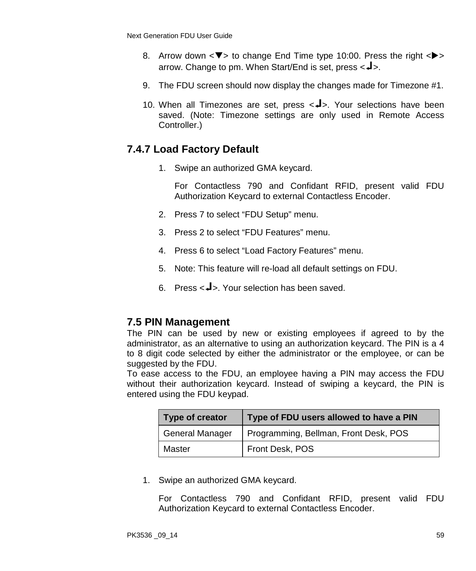- 8. Arrow down  $\langle \nabla \rangle$  to change End Time type 10:00. Press the right  $\langle \rangle$ arrow. Change to pm. When Start/End is set, press  $\leftarrow$   $\rightarrow$ .
- 9. The FDU screen should now display the changes made for Timezone #1.
- 10. When all Timezones are set, press  $\langle -1 \rangle$ . Your selections have been saved. (Note: Timezone settings are only used in Remote Access Controller.)

## **7.4.7 Load Factory Default**

1. Swipe an authorized GMA keycard.

For Contactless 790 and Confidant RFID, present valid FDU Authorization Keycard to external Contactless Encoder.

- 2. Press 7 to select "FDU Setup" menu.
- 3. Press 2 to select "FDU Features" menu.
- 4. Press 6 to select "Load Factory Features" menu.
- 5. Note: This feature will re-load all default settings on FDU.
- 6. Press  $\leq$ **J** $>$  Your selection has been saved.

### **7.5 PIN Management**

The PIN can be used by new or existing employees if agreed to by the administrator, as an alternative to using an authorization keycard. The PIN is a 4 to 8 digit code selected by either the administrator or the employee, or can be suggested by the FDU.

To ease access to the FDU, an employee having a PIN may access the FDU without their authorization keycard. Instead of swiping a keycard, the PIN is entered using the FDU keypad.

| Type of creator        | Type of FDU users allowed to have a PIN |
|------------------------|-----------------------------------------|
| <b>General Manager</b> | Programming, Bellman, Front Desk, POS   |
| Master                 | Front Desk, POS                         |

1. Swipe an authorized GMA keycard.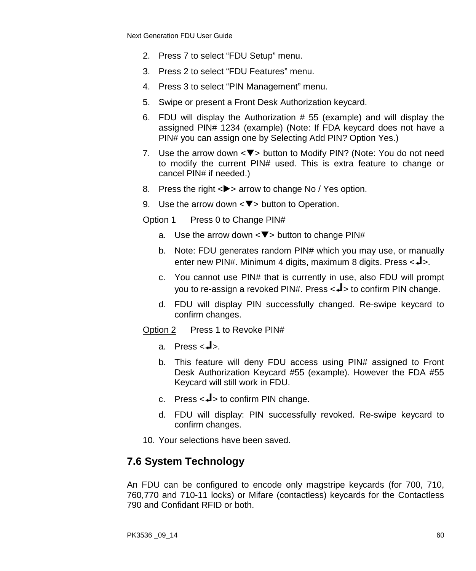- 2. Press 7 to select "FDU Setup" menu.
- 3. Press 2 to select "FDU Features" menu.
- 4. Press 3 to select "PIN Management" menu.
- 5. Swipe or present a Front Desk Authorization keycard.
- 6. FDU will display the Authorization # 55 (example) and will display the assigned PIN# 1234 (example) (Note: If FDA keycard does not have a PIN# you can assign one by Selecting Add PIN? Option Yes.)
- 7. Use the arrow down  $\langle \nabla \rangle$  button to Modify PIN? (Note: You do not need to modify the current PIN# used. This is extra feature to change or cancel PIN# if needed.)
- 8. Press the right  $\langle \rangle$  arrow to change No / Yes option.
- 9. Use the arrow down  $\langle \nabla \rangle$  button to Operation.

Option 1 Press 0 to Change PIN#

- a. Use the arrow down  $\langle \nabla \rangle$  button to change PIN#
- b. Note: FDU generates random PIN# which you may use, or manually enter new PIN#. Minimum 4 digits, maximum 8 digits. Press  $\langle -1 \rangle$ .
- c. You cannot use PIN# that is currently in use, also FDU will prompt you to re-assign a revoked PIN#. Press  $\leftarrow$  to confirm PIN change.
- d. FDU will display PIN successfully changed. Re-swipe keycard to confirm changes.
- Option 2 Press 1 to Revoke PIN#
	- a. Press  $\leftarrow \mathbf{J}$
	- b. This feature will deny FDU access using PIN# assigned to Front Desk Authorization Keycard #55 (example). However the FDA #55 Keycard will still work in FDU.
	- c. Press  $\lt\neq$  to confirm PIN change.
	- d. FDU will display: PIN successfully revoked. Re-swipe keycard to confirm changes.
- 10. Your selections have been saved.

### **7.6 System Technology**

An FDU can be configured to encode only magstripe keycards (for 700, 710, 760,770 and 710-11 locks) or Mifare (contactless) keycards for the Contactless 790 and Confidant RFID or both.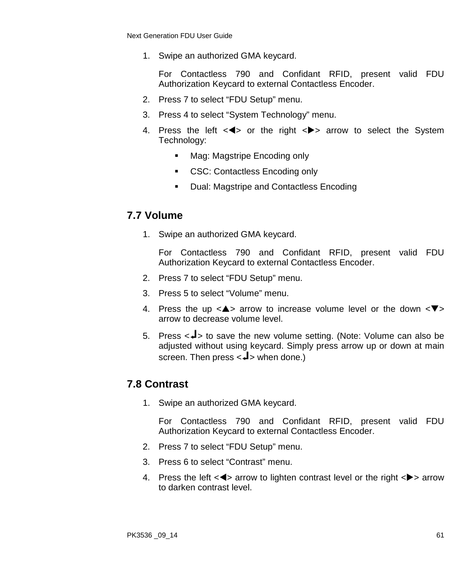1. Swipe an authorized GMA keycard.

For Contactless 790 and Confidant RFID, present valid FDU Authorization Keycard to external Contactless Encoder.

- 2. Press 7 to select "FDU Setup" menu.
- 3. Press 4 to select "System Technology" menu.
- 4. Press the left  $\leq$  or the right  $\leq$  arrow to select the System Technology:
	- Mag: Magstripe Encoding only
	- CSC: Contactless Encoding only
	- **Dual: Magstripe and Contactless Encoding**

## **7.7 Volume**

1. Swipe an authorized GMA keycard.

For Contactless 790 and Confidant RFID, present valid FDU Authorization Keycard to external Contactless Encoder.

- 2. Press 7 to select "FDU Setup" menu.
- 3. Press 5 to select "Volume" menu.
- 4. Press the up  $\langle \blacktriangle \rangle$  arrow to increase volume level or the down  $\langle \blacktriangledown \rangle$ arrow to decrease volume level.
- 5. Press  $\lt\downarrow$  to save the new volume setting. (Note: Volume can also be adjusted without using keycard. Simply press arrow up or down at main screen. Then press  $\leftarrow$  when done.)

## **7.8 Contrast**

1. Swipe an authorized GMA keycard.

- 2. Press 7 to select "FDU Setup" menu.
- 3. Press 6 to select "Contrast" menu.
- 4. Press the left  $\langle \blacktriangleleft \rangle$  arrow to lighten contrast level or the right  $\langle \blacktriangleright \rangle$  arrow to darken contrast level.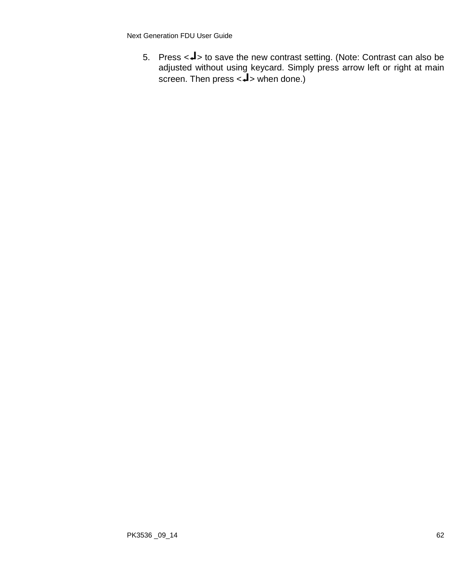5. Press <<>>> to save the new contrast setting. (Note: Contrast can also be adjusted without using keycard. Simply press arrow left or right at main screen. Then press  $<$ **J** $>$  when done.)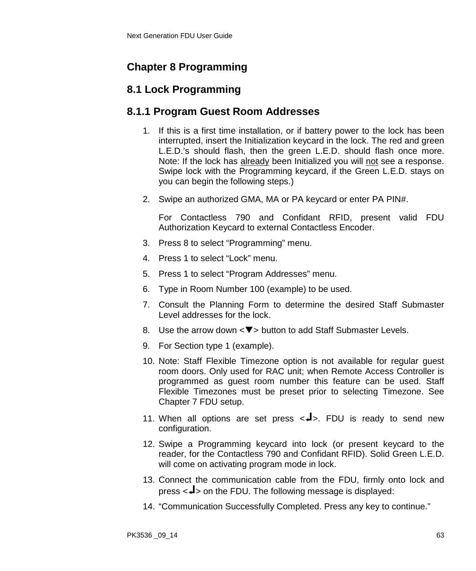## **Chapter 8 Programming**

## **8.1 Lock Programming**

## **8.1.1 Program Guest Room Addresses**

- 1. If this is a first time installation, or if battery power to the lock has been interrupted, insert the Initialization keycard in the lock. The red and green L.E.D.'s should flash, then the green L.E.D. should flash once more. Note: If the lock has already been Initialized you will not see a response. Swipe lock with the Programming keycard, if the Green L.E.D. stays on you can begin the following steps.)
- 2. Swipe an authorized GMA, MA or PA keycard or enter PA PIN#.

- 3. Press 8 to select "Programming" menu.
- 4. Press 1 to select "Lock" menu.
- 5. Press 1 to select "Program Addresses" menu.
- 6. Type in Room Number 100 (example) to be used.
- 7. Consult the Planning Form to determine the desired Staff Submaster Level addresses for the lock.
- 8. Use the arrow down  $\langle \nabla \rangle$  button to add Staff Submaster Levels.
- 9. For Section type 1 (example).
- 10. Note: Staff Flexible Timezone option is not available for regular guest room doors. Only used for RAC unit; when Remote Access Controller is programmed as guest room number this feature can be used. Staff Flexible Timezones must be preset prior to selecting Timezone. See Chapter 7 FDU setup.
- 11. When all options are set press  $\langle -1 \rangle$ . FDU is ready to send new configuration.
- 12. Swipe a Programming keycard into lock (or present keycard to the reader, for the Contactless 790 and Confidant RFID). Solid Green L.E.D. will come on activating program mode in lock.
- 13. Connect the communication cable from the FDU, firmly onto lock and press  $\langle 1 \rangle$  on the FDU. The following message is displayed:
- 14. "Communication Successfully Completed. Press any key to continue."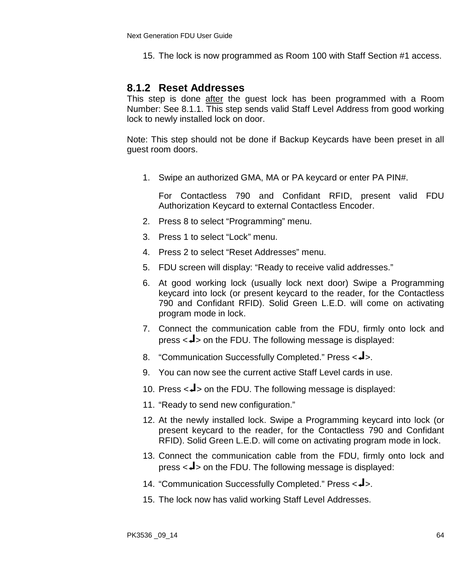15. The lock is now programmed as Room 100 with Staff Section #1 access.

#### **8.1.2 Reset Addresses**

This step is done after the guest lock has been programmed with a Room Number: See 8.1.1. This step sends valid Staff Level Address from good working lock to newly installed lock on door.

Note: This step should not be done if Backup Keycards have been preset in all guest room doors.

1. Swipe an authorized GMA, MA or PA keycard or enter PA PIN#.

- 2. Press 8 to select "Programming" menu.
- 3. Press 1 to select "Lock" menu.
- 4. Press 2 to select "Reset Addresses" menu.
- 5. FDU screen will display: "Ready to receive valid addresses."
- 6. At good working lock (usually lock next door) Swipe a Programming keycard into lock (or present keycard to the reader, for the Contactless 790 and Confidant RFID). Solid Green L.E.D. will come on activating program mode in lock.
- 7. Connect the communication cable from the FDU, firmly onto lock and press  $\langle -\vert >$  on the FDU. The following message is displayed:
- 8. "Communication Successfully Completed." Press < $\blacktriangleleft$ >.
- 9. You can now see the current active Staff Level cards in use.
- 10. Press  $\lt\downarrow$  on the FDU. The following message is displayed:
- 11. "Ready to send new configuration."
- 12. At the newly installed lock. Swipe a Programming keycard into lock (or present keycard to the reader, for the Contactless 790 and Confidant RFID). Solid Green L.E.D. will come on activating program mode in lock.
- 13. Connect the communication cable from the FDU, firmly onto lock and press  $\langle 1 \rangle$  on the FDU. The following message is displayed:
- 14. "Communication Successfully Completed." Press < $\blacktriangleleft$ >.
- 15. The lock now has valid working Staff Level Addresses.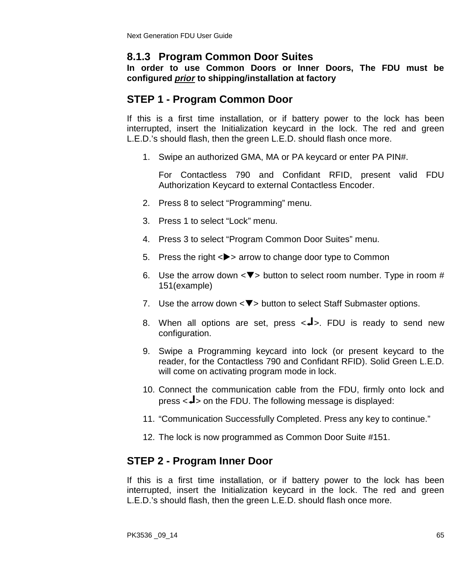## **8.1.3 Program Common Door Suites**

**In order to use Common Doors or Inner Doors, The FDU must be configured** *prior* **to shipping/installation at factory**

## **STEP 1 - Program Common Door**

If this is a first time installation, or if battery power to the lock has been interrupted, insert the Initialization keycard in the lock. The red and green L.E.D.'s should flash, then the green L.E.D. should flash once more.

1. Swipe an authorized GMA, MA or PA keycard or enter PA PIN#.

For Contactless 790 and Confidant RFID, present valid FDU Authorization Keycard to external Contactless Encoder.

- 2. Press 8 to select "Programming" menu.
- 3. Press 1 to select "Lock" menu.
- 4. Press 3 to select "Program Common Door Suites" menu.
- 5. Press the right <**>>** arrow to change door type to Common
- 6. Use the arrow down  $\langle \nabla \rangle$  button to select room number. Type in room # 151(example)
- 7. Use the arrow down  $\langle \nabla \rangle$  button to select Staff Submaster options.
- 8. When all options are set, press  $\langle -1 \rangle$ . FDU is ready to send new configuration.
- 9. Swipe a Programming keycard into lock (or present keycard to the reader, for the Contactless 790 and Confidant RFID). Solid Green L.E.D. will come on activating program mode in lock.
- 10. Connect the communication cable from the FDU, firmly onto lock and press  $\langle -1 \rangle$  on the FDU. The following message is displayed:
- 11. "Communication Successfully Completed. Press any key to continue."
- 12. The lock is now programmed as Common Door Suite #151.

## **STEP 2 - Program Inner Door**

If this is a first time installation, or if battery power to the lock has been interrupted, insert the Initialization keycard in the lock. The red and green L.E.D.'s should flash, then the green L.E.D. should flash once more.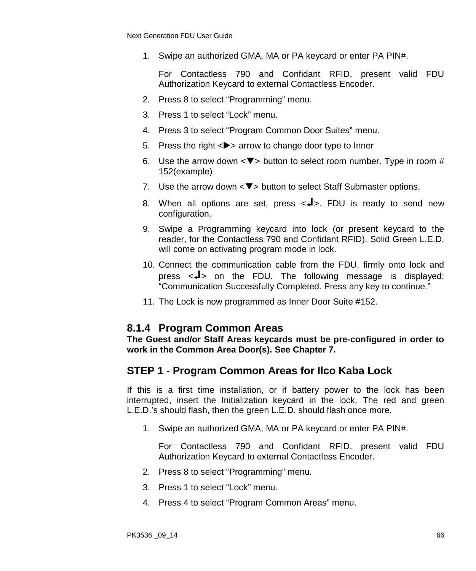1. Swipe an authorized GMA, MA or PA keycard or enter PA PIN#.

For Contactless 790 and Confidant RFID, present valid FDU Authorization Keycard to external Contactless Encoder.

- 2. Press 8 to select "Programming" menu.
- 3. Press 1 to select "Lock" menu.
- 4. Press 3 to select "Program Common Door Suites" menu.
- 5. Press the right  $\langle \rangle$  arrow to change door type to Inner
- 6. Use the arrow down  $\langle \nabla \rangle$  button to select room number. Type in room # 152(example)
- 7. Use the arrow down  $\langle \nabla \rangle$  button to select Staff Submaster options.
- 8. When all options are set, press  $\langle -1 \rangle$ . FDU is ready to send new configuration.
- 9. Swipe a Programming keycard into lock (or present keycard to the reader, for the Contactless 790 and Confidant RFID). Solid Green L.E.D. will come on activating program mode in lock.
- 10. Connect the communication cable from the FDU, firmly onto lock and press  $\langle 1 \rangle$  on the FDU. The following message is displayed: "Communication Successfully Completed. Press any key to continue."
- 11. The Lock is now programmed as Inner Door Suite #152.

#### **8.1.4 Program Common Areas**

**The Guest and/or Staff Areas keycards must be pre-configured in order to work in the Common Area Door(s). See Chapter 7.**

### **STEP 1 - Program Common Areas for Ilco Kaba Lock**

If this is a first time installation, or if battery power to the lock has been interrupted, insert the Initialization keycard in the lock. The red and green L.E.D.'s should flash, then the green L.E.D. should flash once more.

1. Swipe an authorized GMA, MA or PA keycard or enter PA PIN#.

- 2. Press 8 to select "Programming" menu.
- 3. Press 1 to select "Lock" menu.
- 4. Press 4 to select "Program Common Areas" menu.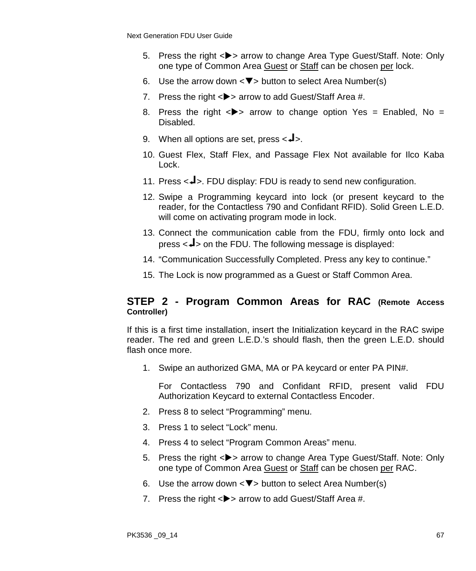- 5. Press the right  $\langle \bullet \rangle$  arrow to change Area Type Guest/Staff. Note: Only one type of Common Area Guest or Staff can be chosen per lock.
- 6. Use the arrow down  $\langle \nabla \rangle$  button to select Area Number(s)
- 7. Press the right  $\langle \rangle$  arrow to add Guest/Staff Area #.
- 8. Press the right  $\langle \rangle$  arrow to change option Yes = Enabled, No = Disabled.
- 9. When all options are set, press  $\lt \neq$ .
- 10. Guest Flex, Staff Flex, and Passage Flex Not available for Ilco Kaba Lock.
- 11. Press  $\langle -1 \rangle$ . FDU display: FDU is ready to send new configuration.
- 12. Swipe a Programming keycard into lock (or present keycard to the reader, for the Contactless 790 and Confidant RFID). Solid Green L.E.D. will come on activating program mode in lock.
- 13. Connect the communication cable from the FDU, firmly onto lock and press  $\langle -\vert$  on the FDU. The following message is displayed:
- 14. "Communication Successfully Completed. Press any key to continue."
- 15. The Lock is now programmed as a Guest or Staff Common Area.

#### **STEP 2 - Program Common Areas for RAC (Remote Access Controller)**

If this is a first time installation, insert the Initialization keycard in the RAC swipe reader. The red and green L.E.D.'s should flash, then the green L.E.D. should flash once more.

1. Swipe an authorized GMA, MA or PA keycard or enter PA PIN#.

- 2. Press 8 to select "Programming" menu.
- 3. Press 1 to select "Lock" menu.
- 4. Press 4 to select "Program Common Areas" menu.
- 5. Press the right <**>>** arrow to change Area Type Guest/Staff. Note: Only one type of Common Area Guest or Staff can be chosen per RAC.
- 6. Use the arrow down  $\langle \nabla \rangle$  button to select Area Number(s)
- 7. Press the right  $\langle \rangle$  arrow to add Guest/Staff Area #.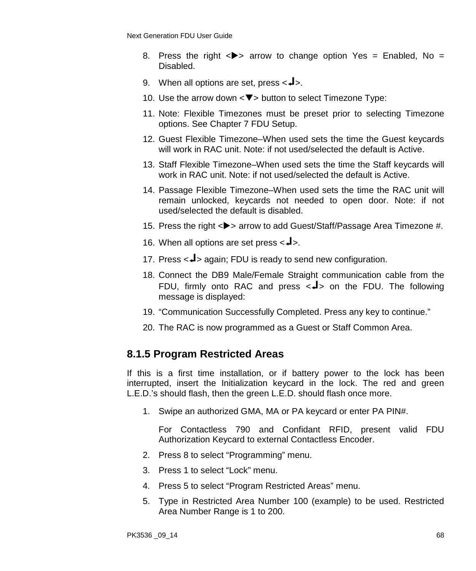- 8. Press the right  $\langle \rangle$  arrow to change option Yes = Enabled, No = Disabled.
- 9. When all options are set, press  $\leftarrow \blacktriangle$ .
- 10. Use the arrow down  $\langle \nabla \rangle$  button to select Timezone Type:
- 11. Note: Flexible Timezones must be preset prior to selecting Timezone options. See Chapter 7 FDU Setup.
- 12. Guest Flexible Timezone–When used sets the time the Guest keycards will work in RAC unit. Note: if not used/selected the default is Active.
- 13. Staff Flexible Timezone–When used sets the time the Staff keycards will work in RAC unit. Note: if not used/selected the default is Active.
- 14. Passage Flexible Timezone–When used sets the time the RAC unit will remain unlocked, keycards not needed to open door. Note: if not used/selected the default is disabled.
- 15. Press the right <**>>** arrow to add Guest/Staff/Passage Area Timezone #.
- 16. When all options are set press  $\langle -\frac{1}{2} \rangle$ .
- 17. Press  $\leftarrow \rightarrow$  again; FDU is ready to send new configuration.
- 18. Connect the DB9 Male/Female Straight communication cable from the FDU, firmly onto RAC and press  $\leftarrow$  > on the FDU. The following message is displayed:
- 19. "Communication Successfully Completed. Press any key to continue."
- 20. The RAC is now programmed as a Guest or Staff Common Area.

### **8.1.5 Program Restricted Areas**

If this is a first time installation, or if battery power to the lock has been interrupted, insert the Initialization keycard in the lock. The red and green L.E.D.'s should flash, then the green L.E.D. should flash once more.

1. Swipe an authorized GMA, MA or PA keycard or enter PA PIN#.

- 2. Press 8 to select "Programming" menu.
- 3. Press 1 to select "Lock" menu.
- 4. Press 5 to select "Program Restricted Areas" menu.
- 5. Type in Restricted Area Number 100 (example) to be used. Restricted Area Number Range is 1 to 200.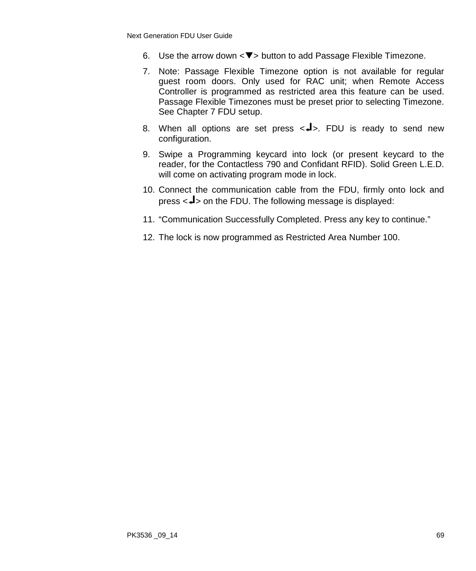- 6. Use the arrow down  $\langle \nabla \rangle$  button to add Passage Flexible Timezone.
- 7. Note: Passage Flexible Timezone option is not available for regular guest room doors. Only used for RAC unit; when Remote Access Controller is programmed as restricted area this feature can be used. Passage Flexible Timezones must be preset prior to selecting Timezone. See Chapter 7 FDU setup.
- 8. When all options are set press  $\langle -1 \rangle$ . FDU is ready to send new configuration.
- 9. Swipe a Programming keycard into lock (or present keycard to the reader, for the Contactless 790 and Confidant RFID). Solid Green L.E.D. will come on activating program mode in lock.
- 10. Connect the communication cable from the FDU, firmly onto lock and press  $\langle 1 \rangle$  on the FDU. The following message is displayed:
- 11. "Communication Successfully Completed. Press any key to continue."
- 12. The lock is now programmed as Restricted Area Number 100.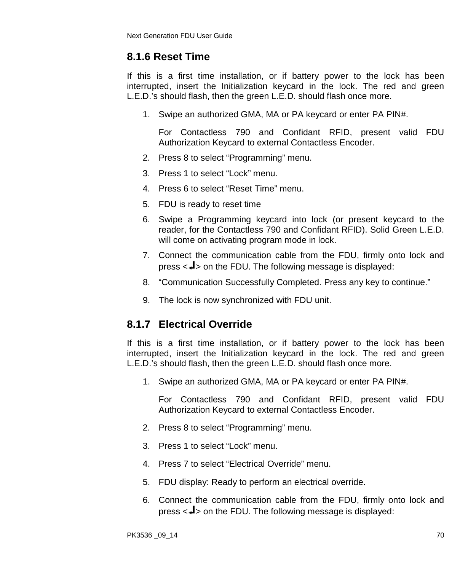## **8.1.6 Reset Time**

If this is a first time installation, or if battery power to the lock has been interrupted, insert the Initialization keycard in the lock. The red and green L.E.D.'s should flash, then the green L.E.D. should flash once more.

1. Swipe an authorized GMA, MA or PA keycard or enter PA PIN#.

For Contactless 790 and Confidant RFID, present valid FDU Authorization Keycard to external Contactless Encoder.

- 2. Press 8 to select "Programming" menu.
- 3. Press 1 to select "Lock" menu.
- 4. Press 6 to select "Reset Time" menu.
- 5. FDU is ready to reset time
- 6. Swipe a Programming keycard into lock (or present keycard to the reader, for the Contactless 790 and Confidant RFID). Solid Green L.E.D. will come on activating program mode in lock.
- 7. Connect the communication cable from the FDU, firmly onto lock and press  $\langle -\frac{1}{2} \rangle$  on the FDU. The following message is displayed:
- 8. "Communication Successfully Completed. Press any key to continue."
- 9. The lock is now synchronized with FDU unit.

## **8.1.7 Electrical Override**

If this is a first time installation, or if battery power to the lock has been interrupted, insert the Initialization keycard in the lock. The red and green L.E.D.'s should flash, then the green L.E.D. should flash once more.

1. Swipe an authorized GMA, MA or PA keycard or enter PA PIN#.

- 2. Press 8 to select "Programming" menu.
- 3. Press 1 to select "Lock" menu.
- 4. Press 7 to select "Electrical Override" menu.
- 5. FDU display: Ready to perform an electrical override.
- 6. Connect the communication cable from the FDU, firmly onto lock and press  $\langle -1 \rangle$  on the FDU. The following message is displayed: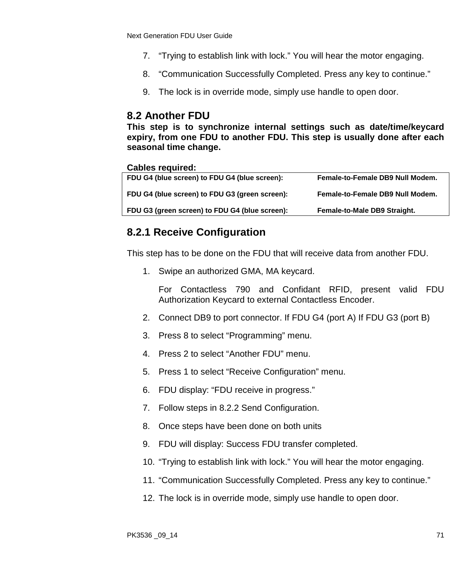- 7. "Trying to establish link with lock." You will hear the motor engaging.
- 8. "Communication Successfully Completed. Press any key to continue."
- 9. The lock is in override mode, simply use handle to open door.

#### **8.2 Another FDU**

**This step is to synchronize internal settings such as date/time/keycard expiry, from one FDU to another FDU. This step is usually done after each seasonal time change.**

#### **Cables required:**

| FDU G4 (blue screen) to FDU G4 (blue screen):  | Female-to-Female DB9 Null Modem. |
|------------------------------------------------|----------------------------------|
| FDU G4 (blue screen) to FDU G3 (green screen): | Female-to-Female DB9 Null Modem. |
| FDU G3 (green screen) to FDU G4 (blue screen): | Female-to-Male DB9 Straight.     |
|                                                |                                  |

### **8.2.1 Receive Configuration**

This step has to be done on the FDU that will receive data from another FDU.

1. Swipe an authorized GMA, MA keycard.

- 2. Connect DB9 to port connector. If FDU G4 (port A) If FDU G3 (port B)
- 3. Press 8 to select "Programming" menu.
- 4. Press 2 to select "Another FDU" menu.
- 5. Press 1 to select "Receive Configuration" menu.
- 6. FDU display: "FDU receive in progress."
- 7. Follow steps in 8.2.2 Send Configuration.
- 8. Once steps have been done on both units
- 9. FDU will display: Success FDU transfer completed.
- 10. "Trying to establish link with lock." You will hear the motor engaging.
- 11. "Communication Successfully Completed. Press any key to continue."
- 12. The lock is in override mode, simply use handle to open door.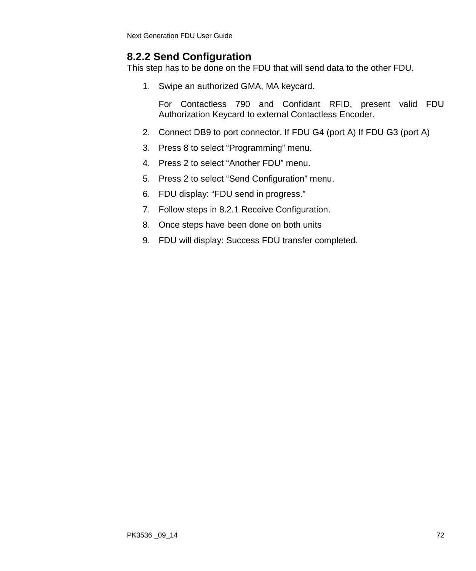## **8.2.2 Send Configuration**

This step has to be done on the FDU that will send data to the other FDU.

1. Swipe an authorized GMA, MA keycard.

- 2. Connect DB9 to port connector. If FDU G4 (port A) If FDU G3 (port A)
- 3. Press 8 to select "Programming" menu.
- 4. Press 2 to select "Another FDU" menu.
- 5. Press 2 to select "Send Configuration" menu.
- 6. FDU display: "FDU send in progress."
- 7. Follow steps in 8.2.1 Receive Configuration.
- 8. Once steps have been done on both units
- 9. FDU will display: Success FDU transfer completed.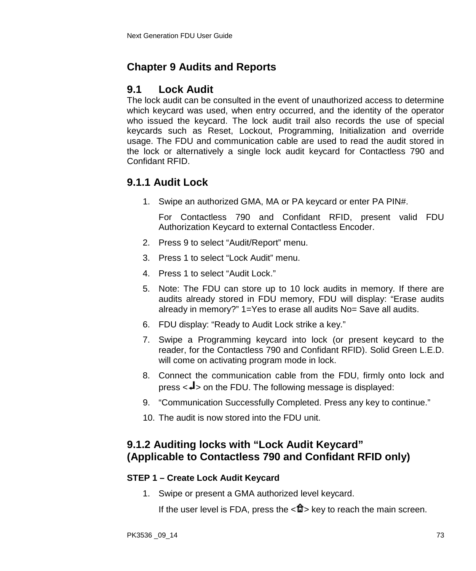# **Chapter 9 Audits and Reports**

## **9.1 Lock Audit**

The lock audit can be consulted in the event of unauthorized access to determine which keycard was used, when entry occurred, and the identity of the operator who issued the keycard. The lock audit trail also records the use of special keycards such as Reset, Lockout, Programming, Initialization and override usage. The FDU and communication cable are used to read the audit stored in the lock or alternatively a single lock audit keycard for Contactless 790 and Confidant RFID.

## **9.1.1 Audit Lock**

1. Swipe an authorized GMA, MA or PA keycard or enter PA PIN#.

For Contactless 790 and Confidant RFID, present valid FDU Authorization Keycard to external Contactless Encoder.

- 2. Press 9 to select "Audit/Report" menu.
- 3. Press 1 to select "Lock Audit" menu.
- 4. Press 1 to select "Audit Lock."
- 5. Note: The FDU can store up to 10 lock audits in memory. If there are audits already stored in FDU memory, FDU will display: "Erase audits already in memory?" 1=Yes to erase all audits No= Save all audits.
- 6. FDU display: "Ready to Audit Lock strike a key."
- 7. Swipe a Programming keycard into lock (or present keycard to the reader, for the Contactless 790 and Confidant RFID). Solid Green L.E.D. will come on activating program mode in lock.
- 8. Connect the communication cable from the FDU, firmly onto lock and press  $\leq$ **J** $>$  on the FDU. The following message is displayed:
- 9. "Communication Successfully Completed. Press any key to continue."
- 10. The audit is now stored into the FDU unit.

## **9.1.2 Auditing locks with "Lock Audit Keycard" (Applicable to Contactless 790 and Confidant RFID only)**

### **STEP 1 – Create Lock Audit Keycard**

1. Swipe or present a GMA authorized level keycard.

If the user level is FDA, press the  $\langle \mathbf{f} \rangle$  key to reach the main screen.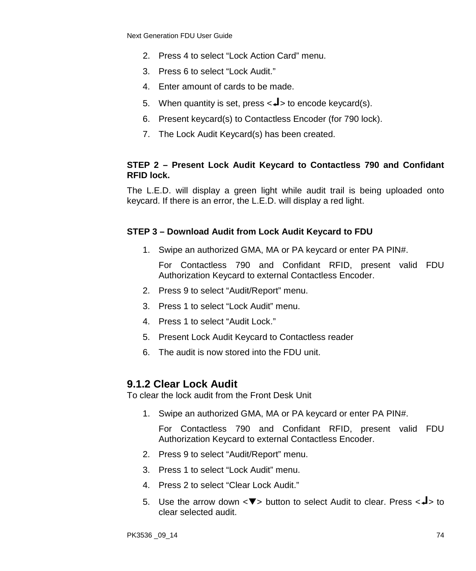- 2. Press 4 to select "Lock Action Card" menu.
- 3. Press 6 to select "Lock Audit."
- 4. Enter amount of cards to be made.
- 5. When quantity is set, press  $\lt \downarrow$  to encode keycard(s).
- 6. Present keycard(s) to Contactless Encoder (for 790 lock).
- 7. The Lock Audit Keycard(s) has been created.

#### **STEP 2 – Present Lock Audit Keycard to Contactless 790 and Confidant RFID lock.**

The L.E.D. will display a green light while audit trail is being uploaded onto keycard. If there is an error, the L.E.D. will display a red light.

#### **STEP 3 – Download Audit from Lock Audit Keycard to FDU**

1. Swipe an authorized GMA, MA or PA keycard or enter PA PIN#.

For Contactless 790 and Confidant RFID, present valid FDU Authorization Keycard to external Contactless Encoder.

- 2. Press 9 to select "Audit/Report" menu.
- 3. Press 1 to select "Lock Audit" menu.
- 4. Press 1 to select "Audit Lock."
- 5. Present Lock Audit Keycard to Contactless reader
- 6. The audit is now stored into the FDU unit.

### **9.1.2 Clear Lock Audit**

To clear the lock audit from the Front Desk Unit

1. Swipe an authorized GMA, MA or PA keycard or enter PA PIN#.

- 2. Press 9 to select "Audit/Report" menu.
- 3. Press 1 to select "Lock Audit" menu.
- 4. Press 2 to select "Clear Lock Audit."
- 5. Use the arrow down  $\langle \nabla \rangle$  button to select Audit to clear. Press  $\langle \nabla \rangle$  to clear selected audit.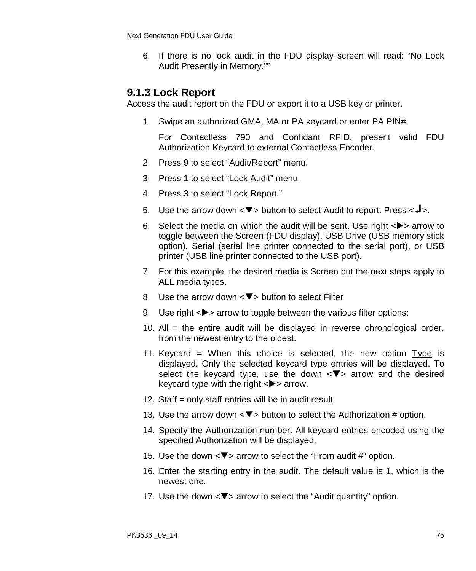6. If there is no lock audit in the FDU display screen will read: "No Lock Audit Presently in Memory.""

## **9.1.3 Lock Report**

Access the audit report on the FDU or export it to a USB key or printer.

1. Swipe an authorized GMA, MA or PA keycard or enter PA PIN#.

- 2. Press 9 to select "Audit/Report" menu.
- 3. Press 1 to select "Lock Audit" menu.
- 4. Press 3 to select "Lock Report."
- 5. Use the arrow down  $\langle \nabla \rangle$  button to select Audit to report. Press  $\langle \nabla \cdot \cdot \cdot \rangle$ .
- 6. Select the media on which the audit will be sent. Use right  $\langle \rangle$  arrow to toggle between the Screen (FDU display), USB Drive (USB memory stick option), Serial (serial line printer connected to the serial port), or USB printer (USB line printer connected to the USB port).
- 7. For this example, the desired media is Screen but the next steps apply to ALL media types.
- 8. Use the arrow down  $\langle \nabla \rangle$  button to select Filter
- 9. Use right  $\langle \rangle$  arrow to toggle between the various filter options:
- 10. All = the entire audit will be displayed in reverse chronological order, from the newest entry to the oldest.
- 11. Keycard = When this choice is selected, the new option Type is displayed. Only the selected keycard type entries will be displayed. To select the keycard type, use the down  $\langle \nabla \rangle$  arrow and the desired keycard type with the right  $\langle \rangle$  arrow.
- 12. Staff = only staff entries will be in audit result.
- 13. Use the arrow down  $\langle \nabla \rangle$  button to select the Authorization # option.
- 14. Specify the Authorization number. All keycard entries encoded using the specified Authorization will be displayed.
- 15. Use the down  $\langle \nabla \rangle$  arrow to select the "From audit #" option.
- 16. Enter the starting entry in the audit. The default value is 1, which is the newest one.
- 17. Use the down  $\langle \nabla \rangle$  arrow to select the "Audit quantity" option.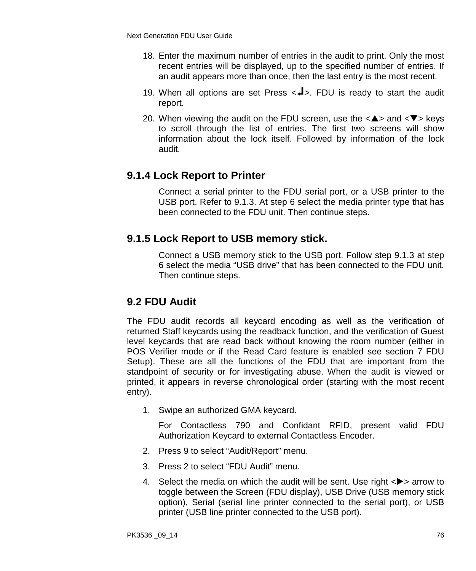- 18. Enter the maximum number of entries in the audit to print. Only the most recent entries will be displayed, up to the specified number of entries. If an audit appears more than once, then the last entry is the most recent.
- 19. When all options are set Press  $\langle -1 \rangle$ . FDU is ready to start the audit report.
- 20. When viewing the audit on the FDU screen, use the  $\langle \blacktriangle \rangle$  and  $\langle \blacktriangledown \rangle$  keys to scroll through the list of entries. The first two screens will show information about the lock itself. Followed by information of the lock audit.

## **9.1.4 Lock Report to Printer**

Connect a serial printer to the FDU serial port, or a USB printer to the USB port. Refer to 9.1.3. At step 6 select the media printer type that has been connected to the FDU unit. Then continue steps.

## **9.1.5 Lock Report to USB memory stick.**

Connect a USB memory stick to the USB port. Follow step 9.1.3 at step 6 select the media "USB drive" that has been connected to the FDU unit. Then continue steps.

## **9.2 FDU Audit**

The FDU audit records all keycard encoding as well as the verification of returned Staff keycards using the readback function, and the verification of Guest level keycards that are read back without knowing the room number (either in POS Verifier mode or if the Read Card feature is enabled see section 7 FDU Setup). These are all the functions of the FDU that are important from the standpoint of security or for investigating abuse. When the audit is viewed or printed, it appears in reverse chronological order (starting with the most recent entry).

1. Swipe an authorized GMA keycard.

- 2. Press 9 to select "Audit/Report" menu.
- 3. Press 2 to select "FDU Audit" menu.
- 4. Select the media on which the audit will be sent. Use right  $\langle \rangle$  arrow to toggle between the Screen (FDU display), USB Drive (USB memory stick option), Serial (serial line printer connected to the serial port), or USB printer (USB line printer connected to the USB port).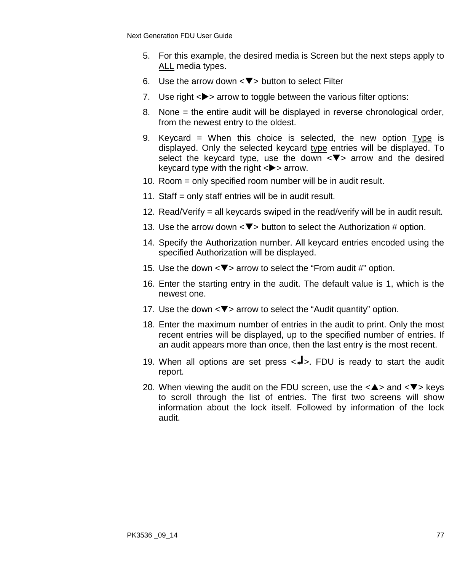- 5. For this example, the desired media is Screen but the next steps apply to ALL media types.
- 6. Use the arrow down  $\langle \nabla \rangle$  button to select Filter
- 7. Use right  $\langle \rangle$  arrow to toggle between the various filter options:
- 8. None = the entire audit will be displayed in reverse chronological order, from the newest entry to the oldest.
- 9. Keycard = When this choice is selected, the new option Type is displayed. Only the selected keycard type entries will be displayed. To select the keycard type, use the down  $\langle \nabla \rangle$  arrow and the desired keycard type with the right  $\langle \rangle$  arrow.
- 10. Room = only specified room number will be in audit result.
- 11. Staff = only staff entries will be in audit result.
- 12. Read/Verify = all keycards swiped in the read/verify will be in audit result.
- 13. Use the arrow down  $\langle \nabla \rangle$  button to select the Authorization # option.
- 14. Specify the Authorization number. All keycard entries encoded using the specified Authorization will be displayed.
- 15. Use the down  $\langle \nabla \rangle$  arrow to select the "From audit #" option.
- 16. Enter the starting entry in the audit. The default value is 1, which is the newest one.
- 17. Use the down  $\leq \blacktriangledown$  arrow to select the "Audit quantity" option.
- 18. Enter the maximum number of entries in the audit to print. Only the most recent entries will be displayed, up to the specified number of entries. If an audit appears more than once, then the last entry is the most recent.
- 19. When all options are set press  $\leftarrow$  >. FDU is ready to start the audit report.
- 20. When viewing the audit on the FDU screen, use the  $\langle \blacktriangle \rangle$  and  $\langle \blacktriangledown \rangle$  keys to scroll through the list of entries. The first two screens will show information about the lock itself. Followed by information of the lock audit.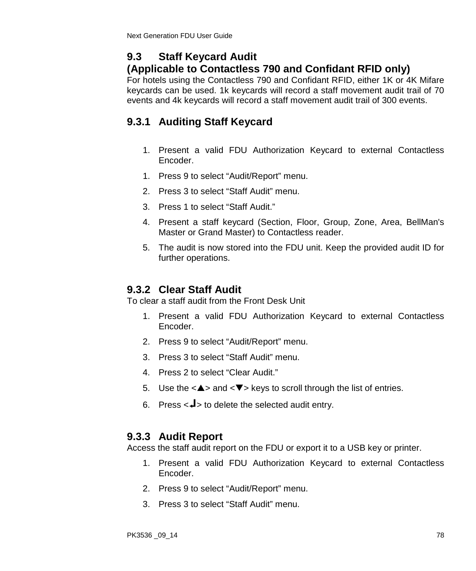# **9.3 Staff Keycard Audit**

# **(Applicable to Contactless 790 and Confidant RFID only)**

For hotels using the Contactless 790 and Confidant RFID, either 1K or 4K Mifare keycards can be used. 1k keycards will record a staff movement audit trail of 70 events and 4k keycards will record a staff movement audit trail of 300 events.

# **9.3.1 Auditing Staff Keycard**

- 1. Present a valid FDU Authorization Keycard to external Contactless Encoder.
- 1. Press 9 to select "Audit/Report" menu.
- 2. Press 3 to select "Staff Audit" menu.
- 3. Press 1 to select "Staff Audit."
- 4. Present a staff keycard (Section, Floor, Group, Zone, Area, BellMan's Master or Grand Master) to Contactless reader.
- 5. The audit is now stored into the FDU unit. Keep the provided audit ID for further operations.

# **9.3.2 Clear Staff Audit**

To clear a staff audit from the Front Desk Unit

- 1. Present a valid FDU Authorization Keycard to external Contactless Encoder.
- 2. Press 9 to select "Audit/Report" menu.
- 3. Press 3 to select "Staff Audit" menu.
- 4. Press 2 to select "Clear Audit."
- 5. Use the  $\langle \blacktriangle \rangle$  and  $\langle \blacktriangledown \rangle$  keys to scroll through the list of entries.
- 6. Press  $\lt\downarrow$  to delete the selected audit entry.

# **9.3.3 Audit Report**

Access the staff audit report on the FDU or export it to a USB key or printer.

- 1. Present a valid FDU Authorization Keycard to external Contactless Encoder.
- 2. Press 9 to select "Audit/Report" menu.
- 3. Press 3 to select "Staff Audit" menu.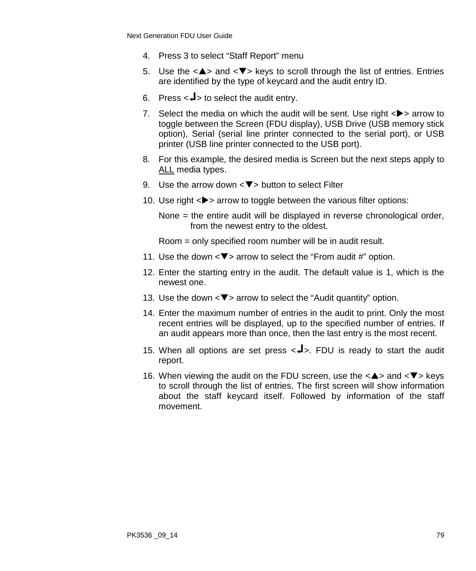- 4. Press 3 to select "Staff Report" menu
- 5. Use the  $\langle \blacktriangle \rangle$  and  $\langle \blacktriangledown \rangle$  keys to scroll through the list of entries. Entries are identified by the type of keycard and the audit entry ID.
- 6. Press  $\lt\downarrow$  to select the audit entry.
- 7. Select the media on which the audit will be sent. Use right  $\langle \rangle$  arrow to toggle between the Screen (FDU display), USB Drive (USB memory stick option), Serial (serial line printer connected to the serial port), or USB printer (USB line printer connected to the USB port).
- 8. For this example, the desired media is Screen but the next steps apply to ALL media types.
- 9. Use the arrow down  $\leq$   $\blacktriangledown$  button to select Filter
- 10. Use right  $\langle \rangle$  arrow to toggle between the various filter options:

None = the entire audit will be displayed in reverse chronological order, from the newest entry to the oldest.

Room = only specified room number will be in audit result.

- 11. Use the down  $\langle \nabla \rangle$  arrow to select the "From audit #" option.
- 12. Enter the starting entry in the audit. The default value is 1, which is the newest one.
- 13. Use the down  $\leq$   $\blacktriangledown$  arrow to select the "Audit quantity" option.
- 14. Enter the maximum number of entries in the audit to print. Only the most recent entries will be displayed, up to the specified number of entries. If an audit appears more than once, then the last entry is the most recent.
- 15. When all options are set press  $\leftarrow$  >. FDU is ready to start the audit report.
- 16. When viewing the audit on the FDU screen, use the  $\langle \blacktriangle \rangle$  and  $\langle \blacktriangledown \rangle$  keys to scroll through the list of entries. The first screen will show information about the staff keycard itself. Followed by information of the staff movement.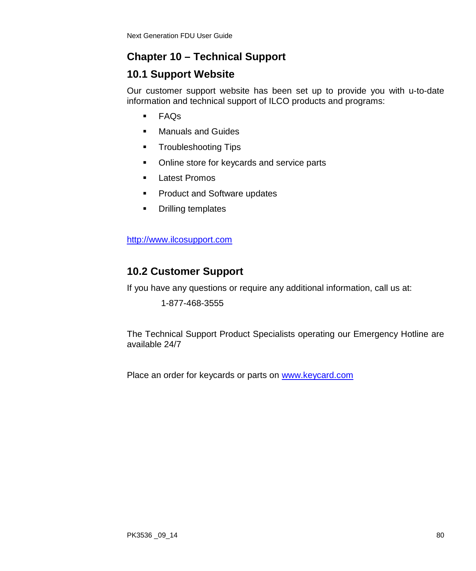# **Chapter 10 – Technical Support**

# **10.1 Support Website**

Our customer support website has been set up to provide you with u-to-date information and technical support of ILCO products and programs:

- FAQs
- **Manuals and Guides**
- **Troubleshooting Tips**
- Online store for keycards and service parts
- **Latest Promos**
- **Product and Software updates**
- **•** Drilling templates

[http://www.ilcosupport.com](http://www.ilcosupport.com/) 

# **10.2 Customer Support**

If you have any questions or require any additional information, call us at:

1-877-468-3555

The Technical Support Product Specialists operating our Emergency Hotline are available 24/7

Place an order for keycards or parts on [www.keycard.com](http://www.keycard.com/)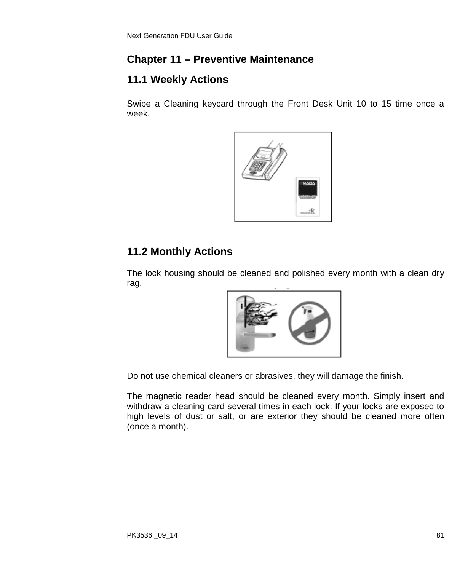# **Chapter 11 – Preventive Maintenance**

# **11.1 Weekly Actions**

Swipe a Cleaning keycard through the Front Desk Unit 10 to 15 time once a week.



## **11.2 Monthly Actions**

The lock housing should be cleaned and polished every month with a clean dry rag.



Do not use chemical cleaners or abrasives, they will damage the finish.

The magnetic reader head should be cleaned every month. Simply insert and withdraw a cleaning card several times in each lock. If your locks are exposed to high levels of dust or salt, or are exterior they should be cleaned more often (once a month).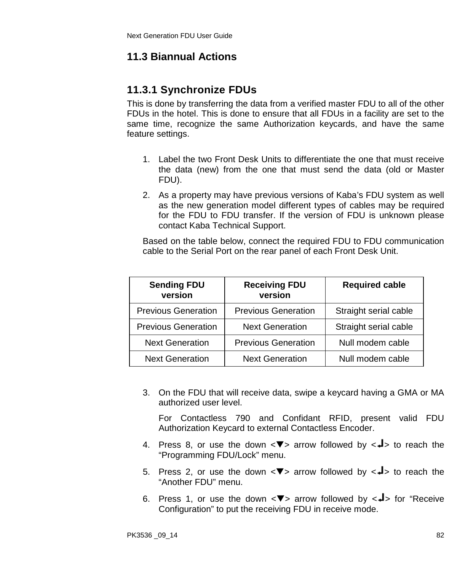# **11.3 Biannual Actions**

# **11.3.1 Synchronize FDUs**

This is done by transferring the data from a verified master FDU to all of the other FDUs in the hotel. This is done to ensure that all FDUs in a facility are set to the same time, recognize the same Authorization keycards, and have the same feature settings.

- 1. Label the two Front Desk Units to differentiate the one that must receive the data (new) from the one that must send the data (old or Master FDU).
- 2. As a property may have previous versions of Kaba's FDU system as well as the new generation model different types of cables may be required for the FDU to FDU transfer. If the version of FDU is unknown please contact Kaba Technical Support.

Based on the table below, connect the required FDU to FDU communication cable to the Serial Port on the rear panel of each Front Desk Unit.

| <b>Sending FDU</b><br>version | <b>Receiving FDU</b><br>version | <b>Required cable</b> |
|-------------------------------|---------------------------------|-----------------------|
| <b>Previous Generation</b>    | <b>Previous Generation</b>      | Straight serial cable |
| <b>Previous Generation</b>    | <b>Next Generation</b>          | Straight serial cable |
| <b>Next Generation</b>        | <b>Previous Generation</b>      | Null modem cable      |
| <b>Next Generation</b>        | <b>Next Generation</b>          | Null modem cable      |

3. On the FDU that will receive data, swipe a keycard having a GMA or MA authorized user level.

- 4. Press 8, or use the down  $\langle \nabla \rangle$  arrow followed by  $\langle \nabla \rangle$  to reach the "Programming FDU/Lock" menu.
- 5. Press 2, or use the down  $\langle \nabla \rangle$  arrow followed by  $\langle \nabla \rangle$  to reach the "Another FDU" menu.
- 6. Press 1, or use the down  $\langle \nabla \rangle$  arrow followed by  $\langle \nabla \rangle$  for "Receive Configuration" to put the receiving FDU in receive mode.